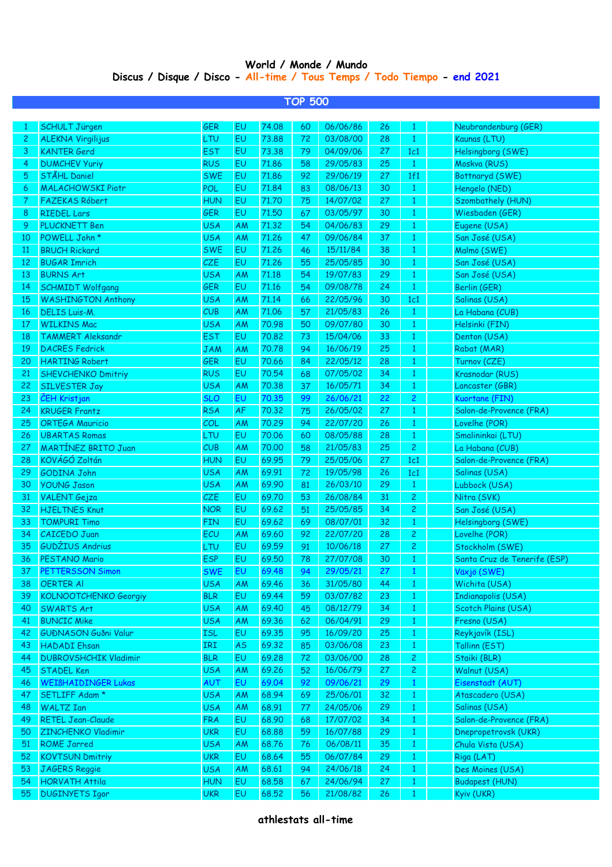## **World / Monde / Mundo Discus / Disque / Disco - All-time / Tous Temps / Todo Tiempo - end 2021**

|                |                              |            |           |       | <b>TOP 500</b> |          |    |                |                              |
|----------------|------------------------------|------------|-----------|-------|----------------|----------|----|----------------|------------------------------|
| -1             | <b>SCHULT Jürgen</b>         | <b>GER</b> | EU        | 74.08 | 60             | 06/06/86 | 26 | $\mathbf{1}$   | Neubrandenburg (GER)         |
| $\overline{c}$ | <b>ALEKNA Virgilijus</b>     | LTU        | EU        | 73.88 | 72             | 03/08/00 | 28 | $\mathbf{1}$   | Kaunas (LTU)                 |
| 3              | <b>KANTER Gerd</b>           | <b>EST</b> | EU        | 73.38 | 79             | 04/09/06 | 27 | 1c1            | Helsingborg (SWE)            |
| 4              | <b>DUMCHEV Yuriy</b>         | <b>RUS</b> | EU        | 71.86 | 58             | 29/05/83 | 25 | $\mathbf{1}$   | Moskva (RUS)                 |
| 5              | STÅHL Daniel                 | <b>SWE</b> | EU        | 71.86 | 92             | 29/06/19 | 27 | 1f1            | Bottnaryd (SWE)              |
| 6              | <b>MALACHOWSKI Piotr</b>     | POL        | EU        | 71.84 | 83             | 08/06/13 | 30 | $\mathbf{1}$   | Hengelo (NED)                |
| 7              | <b>FAZEKAS Róbert</b>        | <b>HUN</b> | EU        | 71,70 | 75             | 14/07/02 | 27 | $\mathbf{1}$   | Szombathely (HUN)            |
| 8              | <b>RIEDEL Lars</b>           | <b>GER</b> | EU        | 71.50 | 67             | 03/05/97 | 30 | $\mathbf{1}$   | Wiesbaden (GER)              |
| 9              | <b>PLUCKNETT Ben</b>         | <b>USA</b> | AM        | 71.32 | 54             | 04/06/83 | 29 | $\mathbf{1}$   | Eugene (USA)                 |
| 10             | POWELL John *                | <b>USA</b> | AM        | 71.26 | 47             | 09/06/84 | 37 | $\mathbf{1}$   | San José (USA)               |
| 11             | <b>BRUCH Rickard</b>         | <b>SWE</b> | EU        | 71.26 | 46             | 15/11/84 | 38 | $\mathbf{1}$   | Malmö (SWE)                  |
| 12             | <b>BUGAR Imrich</b>          | <b>CZE</b> | EU        | 71.26 | 55             | 25/05/85 | 30 | $\mathbf{1}$   | San José (USA)               |
| 13             | <b>BURNS Art</b>             | <b>USA</b> | AM        | 71.18 | 54             | 19/07/83 | 29 | $\mathbf{1}$   | San José (USA)               |
| 14             | <b>SCHMIDT Wolfgang</b>      | <b>GER</b> | EU        | 71.16 | 54             | 09/08/78 | 24 | $\mathbf{1}$   | Berlin (GER)                 |
| 15             | <b>WASHINGTON Anthony</b>    | <b>USA</b> | AM        | 71.14 | 66             | 22/05/96 | 30 | 1c1            | Salinas (USA)                |
| 16             | <b>DELIS Luis-M.</b>         | CUB        | АM        | 71.06 | 57             | 21/05/83 | 26 | $\mathbf{1}$   | La Habana (CUB)              |
| 17             | <b>WILKINS Mac</b>           | <b>USA</b> | AM        | 70.98 | 50             | 09/07/80 | 30 | $\mathbf{1}$   | Helsinki (FIN)               |
| 18             | <b>TAMMERT Aleksandr</b>     | <b>EST</b> | EU        | 70,82 | 73             | 15/04/06 | 33 | $\mathbf{1}$   | Denton (USA)                 |
| 19             | <b>DACRES Fedrick</b>        | <b>JAM</b> | AM        | 70.78 | 94             | 16/06/19 | 25 | $\mathbf{1}$   | Rabat (MAR)                  |
| 20             | <b>HARTING Robert</b>        | <b>GER</b> | EU        | 70.66 | 84             | 22/05/12 | 28 | $\mathbf{1}$   | Turnov (CZE)                 |
| 21             | <b>SHEVCHENKO Dmitriy</b>    | <b>RUS</b> | EU        | 70.54 | 68             | 07/05/02 | 34 | $\mathbf{1}$   | Krasnodar (RUS)              |
| 22             | <b>SILVESTER Jay</b>         | <b>USA</b> | AM        | 70.38 | 37             | 16/05/71 | 34 | $\mathbf{1}$   | Lancaster (GBR)              |
| 23             | ČEH Kristjan                 | <b>SLO</b> | EU        | 70.35 | 99             | 26/06/21 | 22 | $\overline{c}$ | Kuortane (FIN)               |
| 24             | <b>KRUGER Frantz</b>         | <b>RSA</b> | <b>AF</b> | 70.32 | 75             | 26/05/02 | 27 | $\mathbf{1}$   | Salon-de-Provence (FRA)      |
| 25             | <b>ORTEGA Mauricio</b>       | COL        | <b>AM</b> | 70.29 | 94             | 22/07/20 | 26 | $\mathbf{1}$   | Lovelhe (POR)                |
| 26             | <b>UBARTAS Romas</b>         | LTU        | EU        | 70.06 | 60             | 08/05/88 | 28 | $\mathbf{1}$   | Smalininkai (LTU)            |
| 27             | <b>MARTINEZ BRITO Juan</b>   | CUB        | AM        | 70,00 | 58             | 21/05/83 | 25 | $\overline{c}$ | La Habana (CUB)              |
| 28             | KÖVÁGÓ Zoltán                | <b>HUN</b> | EU        | 69.95 | 79             | 25/05/06 | 27 | 1c1            | Salon-de-Provence (FRA)      |
| 29             | <b>GODINA John</b>           | <b>USA</b> | AM        | 69.91 | 72             | 19/05/98 | 26 | 1c1            | Salinas (USA)                |
| 30             | <b>YOUNG Jason</b>           | <b>USA</b> | AM        | 69.90 | 81             | 26/03/10 | 29 | $\mathbf{1}$   | Lubbock (USA)                |
| 31             | <b>VALENT</b> Gejza          | <b>CZE</b> | EU        | 69.70 | 53             | 26/08/84 | 31 | $\overline{c}$ | Nitra (SVK)                  |
| 32             | <b>HJELTNES Knut</b>         | <b>NOR</b> | EU        | 69.62 | 51             | 25/05/85 | 34 | $\overline{c}$ | San José (USA)               |
| 33             | <b>TOMPURI Timo</b>          | <b>FIN</b> | EU        | 69.62 | 69             | 08/07/01 | 32 | $\mathbf{1}$   | Helsingborg (SWE)            |
| 34             | <b>CAICEDO Juan</b>          | ECU        | AM        | 69.60 | 92             | 22/07/20 | 28 | $\overline{c}$ | Lovelhe (POR)                |
| 35             | <b>GUDŽIUS Andrius</b>       | LTU        | EU        | 69.59 | 91             | 10/06/18 | 27 | $\overline{c}$ | Stockholm (SWE)              |
| 36             | <b>PESTANO Mario</b>         | ESP        | EU        | 69.50 | 78             | 27/07/08 | 30 | 1              | Santa Cruz de Tenerife (ESP) |
| 37             | <b>PETTERSSON Simon</b>      | <b>SWE</b> | EU        | 69.48 | 94             | 29/05/21 | 27 | $\mathbf{1}$   | Växjö (SWE)                  |
| 38             | <b>OERTER AI</b>             | <b>USA</b> | AM        | 69.46 | 36             | 31/05/80 | 44 | $\mathbf{1}$   | Wichita (USA)                |
| 39             | <b>KOLNOOTCHENKO Georgiy</b> | <b>BLR</b> | EU        | 69.44 | 59             | 03/07/82 | 23 | $\mathbf{1}$   | <b>Indianapolis (USA)</b>    |
| 40             | <b>SWARTS Art</b>            | <b>USA</b> | AM        | 69.40 | 45             | 08/12/79 | 34 | $\mathbf{1}$   | Scotch Plains (USA)          |
| 41             | <b>BUNCIC Mike</b>           | <b>USA</b> | AM        | 69.36 | 62             | 06/04/91 | 29 | $\mathbf{1}$   | Fresno (USA)                 |
| 42             | <b>GUÐNASON Guðni Valur</b>  | <b>ISL</b> | EU        | 69.35 | 95             | 16/09/20 | 25 | $\mathbf{1}$   | Reykjavík (ISL)              |
| 43             | <b>HADADI</b> Ehsan          | IRI        | <b>AS</b> | 69.32 | 85             | 03/06/08 | 23 | $\mathbf{1}$   | Tallinn (EST)                |
| 44             | <b>DUBROVSHCHIK Vladimir</b> | <b>BLR</b> | EU        | 69.28 | 72             | 03/06/00 | 28 | $\overline{c}$ | Staiki (BLR)                 |
| 45             | <b>STADEL Ken</b>            | <b>USA</b> | AM        | 69.26 | 52             | 16/06/79 | 27 | $\overline{c}$ | Walnut (USA)                 |
| 46             | <b>WEIBHAIDINGER Lukas</b>   | <b>AUT</b> | EU        | 69.04 | 92             | 09/06/21 | 29 | $\mathbf{1}$   | Eisenstadt (AUT)             |
| 47             | SETLIFF Adam *               | <b>USA</b> | AM        | 68.94 | 69             | 25/06/01 | 32 | $\mathbf{1}$   | Atascadero (USA)             |
| 48             | <b>WALTZ Ian</b>             | <b>USA</b> | AM        | 68.91 | 77             | 24/05/06 | 29 | $\mathbf{1}$   | Salinas (USA)                |
| 49             | <b>RETEL Jean-Claude</b>     | <b>FRA</b> | EU        | 68.90 | 68             | 17/07/02 | 34 | $\mathbf{1}$   | Salon-de-Provence (FRA)      |
| 50             | <b>ZINCHENKO Vladimir</b>    | <b>UKR</b> | EU        | 68.88 | 59             | 16/07/88 | 29 | $\mathbf{1}$   | Dnepropetrovsk (UKR)         |
| 51             | <b>ROME Jarred</b>           | <b>USA</b> | AM        | 68.76 | 76             | 06/08/11 | 35 | $\mathbf{1}$   | Chula Vista (USA)            |
| 52             | <b>KOVTSUN Dmitriy</b>       | <b>UKR</b> | EU        | 68.64 | 55             | 06/07/84 | 29 | $\mathbf{1}$   | Riga (LAT)                   |
| 53             | JAGERS Reggie                | <b>USA</b> | AM        | 68.61 | 94             | 24/06/18 | 24 | $\mathbf{1}$   | Des Moines (USA)             |
| 54             | <b>HORVATH Attila</b>        | <b>HUN</b> | EU        | 68.58 | 67             | 24/06/94 | 27 | $\mathbf{1}$   | <b>Budapest (HUN)</b>        |
| 55             | <b>DUGINYETS Igor</b>        | <b>UKR</b> | EU        | 68.52 | 56             | 21/08/82 | 26 | $\mathbf{1}$   | Kyiv (UKR)                   |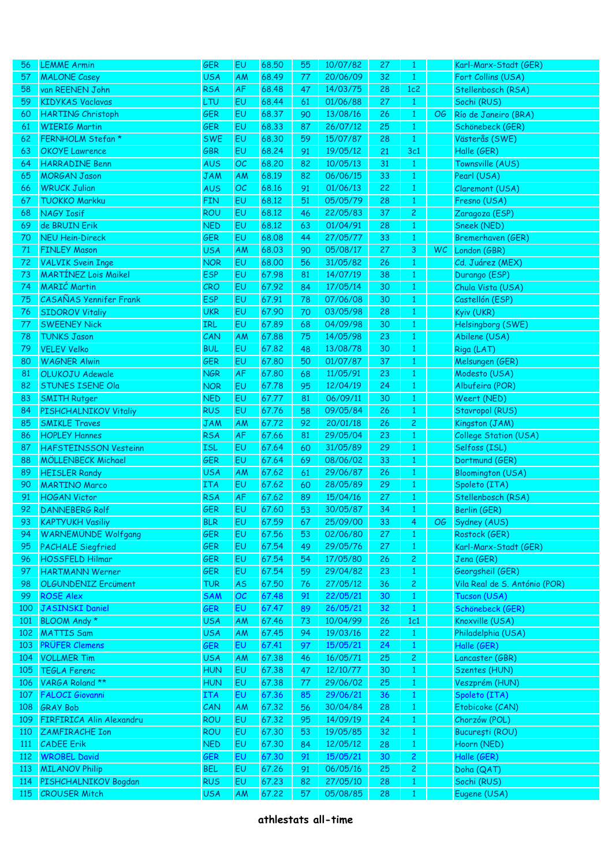| 56         | <b>LEMME Armin</b>            | GER                      | EU        | 68.50 | 55 | 10/07/82 | 27 | $\mathbf{1}$   |     | Karl-Marx-Stadt (GER)         |
|------------|-------------------------------|--------------------------|-----------|-------|----|----------|----|----------------|-----|-------------------------------|
| 57         | <b>MALONE Casey</b>           | <b>USA</b>               | <b>AM</b> | 68.49 | 77 | 20/06/09 | 32 | $\mathbf{1}$   |     | Fort Collins (USA)            |
| 58         | van REENEN John               | <b>RSA</b>               | <b>AF</b> | 68.48 | 47 | 14/03/75 | 28 | 1c2            |     | Stellenbosch (RSA)            |
| 59         | <b>KIDYKAS Vaclavas</b>       | <b>LTU</b>               | EU        | 68.44 | 61 | 01/06/88 | 27 | $\mathbf{1}$   |     | Sochi (RUS)                   |
| 60         | <b>HARTING Christoph</b>      | <b>GER</b>               | EU        | 68.37 | 90 | 13/08/16 | 26 | $\mathbf{1}$   | OG  | Río de Janeiro (BRA)          |
| 61         | <b>WIERIG Martin</b>          | <b>GER</b>               | EU        | 68.33 | 87 | 26/07/12 | 25 | $\mathbf{1}$   |     | Schönebeck (GER)              |
| 62         | FERNHOLM Stefan *             | <b>SWE</b>               | EU        | 68.30 | 59 | 15/07/87 | 28 | $\mathbf{1}$   |     | Västerås (SWE)                |
| 63         | <b>OKOYE</b> Lawrence         | GBR                      | EU        | 68.24 | 91 | 19/05/12 | 21 | 3c1            |     | Halle (GER)                   |
| 64         | <b>HARRADINE Benn</b>         | <b>AUS</b>               | OC        | 68,20 | 82 | 10/05/13 | 31 | $\mathbf{1}$   |     | Townsville (AUS)              |
| 65         | <b>MORGAN Jason</b>           | <b>JAM</b>               | AM        | 68.19 | 82 | 06/06/15 | 33 | $\mathbf{1}$   |     | Pearl (USA)                   |
| 66         | <b>WRUCK Julian</b>           | <b>AUS</b>               | OC        | 68.16 | 91 | 01/06/13 | 22 | $\mathbf{1}$   |     | Claremont (USA)               |
| 67         | <b>TUOKKO Markku</b>          | <b>FIN</b>               | EU        | 68.12 | 51 | 05/05/79 | 28 | $\mathbf{1}$   |     | Fresno (USA)                  |
| 68         | <b>NAGY Iosif</b>             | <b>ROU</b>               | EU        | 68.12 | 46 | 22/05/83 | 37 | $\overline{c}$ |     | Zaragoza (ESP)                |
| 69         | de BRUIN Erik                 | <b>NED</b>               | EU        | 68.12 | 63 | 01/04/91 | 28 | $\mathbf{1}$   |     | Sneek (NED)                   |
| 70         | <b>NEU Hein-Direck</b>        | <b>GER</b>               | EU        | 68.08 | 44 | 27/05/77 | 33 | $\mathbf{1}$   |     | Bremerhaven (GER)             |
| 71         | <b>FINLEY Mason</b>           | <b>USA</b>               | AM        | 68.03 | 90 | 05/08/17 | 27 | 3              | WC. | London (GBR)                  |
| 72         | <b>VALVIK Svein Inge</b>      | <b>NOR</b>               | EU        | 68,00 | 56 | 31/05/82 | 26 | $\mathbf{1}$   |     | Cd. Juárez (MEX)              |
| 73         | <b>MARTÍNEZ Lois Maikel</b>   | <b>ESP</b>               | EU        | 67.98 | 81 | 14/07/19 | 38 | $\mathbf{1}$   |     | Durango (ESP)                 |
| 74         | <b>MARIĆ Martin</b>           | CRO                      | EU        | 67.92 | 84 | 17/05/14 | 30 | $\mathbf{1}$   |     | Chula Vista (USA)             |
| 75         | <b>CASAÑAS Yennifer Frank</b> | <b>ESP</b>               | EU        | 67.91 | 78 | 07/06/08 | 30 | $\mathbf{1}$   |     | Castellón (ESP)               |
| 76         | <b>SIDOROV Vitaliy</b>        | <b>UKR</b>               | EU        | 67.90 | 70 | 03/05/98 | 28 | $\mathbf{1}$   |     | Kyiv (UKR)                    |
| 77         | <b>SWEENEY Nick</b>           | IRL                      | EU        | 67.89 | 68 | 04/09/98 | 30 | $\mathbf{1}$   |     | Helsingborg (SWE)             |
| 78         | <b>TUNKS Jason</b>            | CAN                      | AM        | 67.88 | 75 | 14/05/98 | 23 | $\mathbf{1}$   |     | Abilene (USA)                 |
| 79         | <b>VELEV Velko</b>            | <b>BUL</b>               | EU        | 67.82 | 48 | 13/08/78 | 30 | $\mathbf{1}$   |     | Riga (LAT)                    |
| 80         | <b>WAGNER Alwin</b>           | <b>GER</b>               | EU        | 67.80 | 50 | 01/07/87 | 37 | $\mathbf{1}$   |     | Melsungen (GER)               |
| 81         | OLUKOJU Adewale               | <b>NGR</b>               | <b>AF</b> | 67.80 | 68 | 11/05/91 | 23 |                |     |                               |
|            |                               |                          |           |       |    |          |    | $\mathbf{1}$   |     | Modesto (USA)                 |
| 82         | STUNES ISENE Ola              | <b>NOR</b>               | EU        | 67.78 | 95 | 12/04/19 | 24 | $\mathbf{1}$   |     | Albufeira (POR)               |
| 83         | <b>SMITH Rutger</b>           | <b>NED</b><br><b>RUS</b> | EU        | 67.77 | 81 | 06/09/11 | 30 | $\mathbf{1}$   |     | Weert (NED)                   |
| 84         | PISHCHALNIKOV Vitaliy         |                          | EU        | 67.76 | 58 | 09/05/84 | 26 | $\mathbf{1}$   |     | Stavropol (RUS)               |
| 85         | <b>SMIKLE Traves</b>          | <b>JAM</b>               | <b>AM</b> | 67.72 | 92 | 20/01/18 | 26 | $\overline{c}$ |     | Kingston (JAM)                |
| 86         | <b>HOPLEY Hannes</b>          | <b>RSA</b>               | <b>AF</b> | 67.66 | 81 | 29/05/04 | 23 | $\mathbf{1}$   |     | College Station (USA)         |
| 87         | <b>HAFSTEINSSON Vesteinn</b>  | <b>ISL</b>               | EU        | 67.64 | 60 | 31/05/89 | 29 | $\mathbf{1}$   |     | Selfoss (ISL)                 |
| 88         | <b>MÖLLENBECK Michael</b>     | <b>GER</b>               | EU        | 67.64 | 69 | 08/06/02 | 33 | $\mathbf{1}$   |     | Dortmund (GER)                |
| 89         | <b>HEISLER Randy</b>          | <b>USA</b>               | <b>AM</b> | 67.62 | 61 | 29/06/87 | 26 | $\mathbf{1}$   |     | <b>Bloomington (USA)</b>      |
| 90         | <b>MARTINO Marco</b>          | <b>ITA</b>               | EU        | 67.62 | 60 | 28/05/89 | 29 | $\mathbf{1}$   |     | Spoleto (ITA)                 |
| 91         | <b>HOGAN Victor</b>           | <b>RSA</b>               | <b>AF</b> | 67.62 | 89 | 15/04/16 | 27 | $\mathbf{1}$   |     | Stellenbosch (RSA)            |
| 92         | <b>DANNEBERG Rolf</b>         | <b>GER</b>               | EU        | 67.60 | 53 | 30/05/87 | 34 | $\mathbf{1}$   |     | Berlin (GER)                  |
| 93         | <b>KAPTYUKH Vasiliy</b>       | <b>BLR</b>               | 6Ū        | 67.59 | 67 | 25/09/00 | 33 | 4              | OG. | Sydney (AUS)                  |
| 94         | <b>WARNEMÜNDE Wolfgang</b>    | GER                      | EU        | 67.56 | 53 | 02/06/80 | 27 | $\mathbf{1}$   |     | Rostock (GER)                 |
| 95         | <b>PACHALE Siegfried</b>      | GER                      | EU        | 67.54 | 49 | 29/05/76 | 27 | $\mathbf{1}$   |     | Karl-Marx-Stadt (GER)         |
| 96         | <b>HOSSFELD Hilmar</b>        | GER                      | EU        | 67.54 | 54 | 17/05/80 | 26 | $\mathbf{Z}$   |     | Jena (GER)                    |
| 97         | <b>HARTMANN Werner</b>        | GER                      | EU        | 67.54 | 59 | 29/04/82 | 23 | $\mathbf{1}$   |     | Georgsheil (GER)              |
| 98         | <b>OLGUNDENIZ Ercüment</b>    | <b>TUR</b>               | <b>AS</b> | 67.50 | 76 | 27/05/12 | 36 | $\mathbf{Z}$   |     | Vila Real de S. António (POR) |
| 99         | <b>ROSE Alex</b>              | <b>SAM</b>               | OC        | 67.48 | 91 | 22/05/21 | 30 | $\mathbf{1}$   |     | Tucson (USA)                  |
| 100        | <b>JASINSKI Daniel</b>        | <b>GER</b>               | EU        | 67.47 | 89 | 26/05/21 | 32 | $\mathbf{1}$   |     | Schönebeck (GER)              |
| 101        | BLOOM Andy *                  | <b>USA</b>               | AM        | 67.46 | 73 | 10/04/99 | 26 | 1c1            |     | Knoxville (USA)               |
| 102        | <b>MATTIS Sam</b>             | <b>USA</b>               | AM        | 67.45 | 94 | 19/03/16 | 22 | $\mathbf{1}$   |     | Philadelphia (USA)            |
| 103        | PRÜFER Clemens                | <b>GER</b>               | EU        | 67.41 | 97 | 15/05/21 | 24 | $\mathbf{1}$   |     | Halle (GER)                   |
| 104        | <b>VOLLMER Tim</b>            | <b>USA</b>               | AM        | 67.38 | 46 | 16/05/71 | 25 | $\mathbf{2}$   |     | Lancaster (GBR)               |
| 105        | <b>TEGLA Ferenc</b>           | <b>HUN</b>               | EU        | 67.38 | 47 | 12/10/77 | 30 | $\mathbf{1}$   |     | Szentes (HUN)                 |
| 106        | VARGA Roland **               | <b>HUN</b>               | EU        | 67.38 | 77 | 29/06/02 | 25 | $\mathbf{1}$   |     | Veszprém (HUN)                |
| 107        | <b>FALOCI Giovanni</b>        | <b>ITA</b>               | EU        | 67.36 | 85 | 29/06/21 | 36 | $\mathbf{1}$   |     | Spoleto (ITA)                 |
| 108        | <b>GRAY Bob</b>               | CAN                      | AM        | 67.32 | 56 | 30/04/84 | 28 | $\mathbf{1}$   |     | Etobicoke (CAN)               |
| 109        | FIRFIRICA Alin Alexandru      | <b>ROU</b>               | EU        | 67.32 | 95 | 14/09/19 | 24 | $\mathbf{1}$   |     | Chorzów (POL)                 |
| <b>110</b> | ZAMFIRACHE Ion                | <b>ROU</b>               | EU        | 67.30 | 53 | 19/05/85 | 32 | $\mathbf{1}$   |     | București (ROU)               |
| 111        | <b>CADEE Erik</b>             | <b>NED</b>               | EU        | 67.30 | 84 | 12/05/12 | 28 | $\mathbf{1}$   |     | Hoorn (NED)                   |
| 112        | <b>WROBEL David</b>           | GER                      | EU        | 67.30 | 91 | 15/05/21 | 30 | $\overline{c}$ |     | Halle (GER)                   |
| <b>113</b> | <b>MILANOV Philip</b>         | <b>BEL</b>               | EU        | 67.26 | 91 | 06/05/16 | 25 | $\overline{c}$ |     | Doha (QAT)                    |
| 114        | PISHCHALNIKOV Bogdan          | <b>RUS</b>               | EU        | 67.23 | 82 | 27/05/10 | 28 | $\mathbf{1}$   |     | Sochi (RUS)                   |
| <b>115</b> | <b>CROUSER Mitch</b>          | <b>USA</b>               | AM        | 67.22 | 57 | 05/08/85 | 28 | $\mathbf{1}$   |     | Eugene (USA)                  |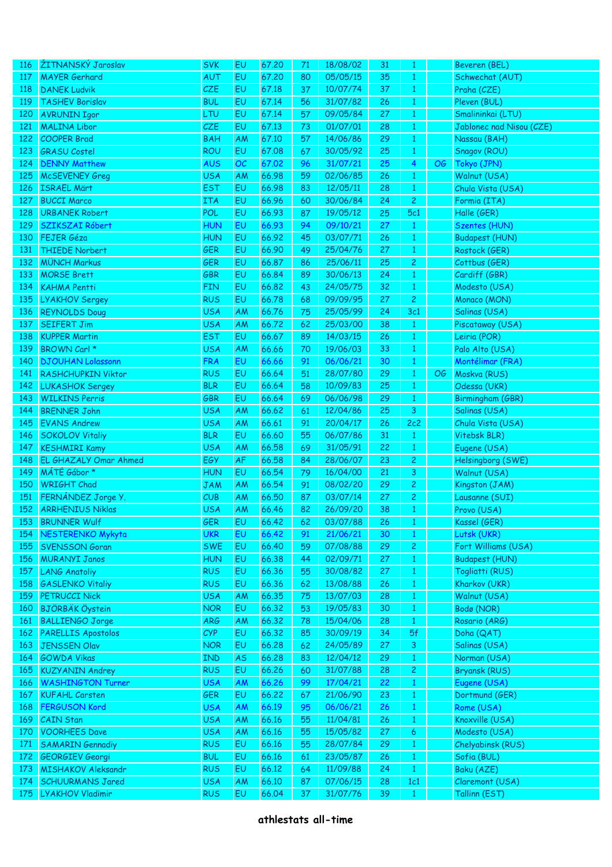| <u>116</u> | ŽITNANSKÝ Jaroslav           | <b>SVK</b>               | EU              | 67.20          | 71       | 18/08/02 | 31       | $\mathbf{1}$                 |    | Beveren (BEL)              |
|------------|------------------------------|--------------------------|-----------------|----------------|----------|----------|----------|------------------------------|----|----------------------------|
| 117        | <b>MAYER Gerhard</b>         | AUT                      | EU              | 67.20          | 80       | 05/05/15 | 35       | $\mathbf{1}$                 |    | Schwechat (AUT)            |
| 118        | <b>DANEK Ludvik</b>          | CZE                      | EU              | 67.18          | 37       | 10/07/74 | 37       | $\mathbf{1}$                 |    | Praha (CZE)                |
| 119        | <b>TASHEV Borislav</b>       | <b>BUL</b>               | EU              | 67.14          | 56       | 31/07/82 | 26       | $\mathbf{1}$                 |    | Pleven (BUL)               |
| 120        | <b>AVRUNIN Igor</b>          | LTU                      | EU              | 67.14          | 57       | 09/05/84 | 27       | $1\,$                        |    | Smalininkai (LTU)          |
| 121        | <b>MALINA Libor</b>          | CZE                      | EU              | 67.13          | 73       | 01/07/01 | 28       | $1\,$                        |    | Jablonec nad Nisou (CZE)   |
| 122        | <b>COOPER Brad</b>           | <b>BAH</b>               | AM              | 67.10          | 57       | 14/06/86 | 29       | $1\,$                        |    | Nassau (BAH)               |
| 123        | <b>GRASU Costel</b>          | <b>ROU</b>               | EU              | 67.08          | 67       | 30/05/92 | 25       | $\mathbf{1}$                 |    | Snagov (ROU)               |
| 124        | <b>DENNY Matthew</b>         | <b>AUS</b>               | OC              | 67.02          | 96       | 31/07/21 | 25       | $\overline{4}$               | OG | Tokyo (JPN)                |
| 125        | <b>McSEVENEY Greg</b>        | <b>USA</b>               | AM              | 66.98          | 59       | 02/06/85 | 26       | $\mathbf{1}$                 |    | Walnut (USA)               |
| 126        | <b>ISRAEL Märt</b>           | <b>EST</b>               | EU              | 66.98          | 83       | 12/05/11 | 28       | $\mathbf{1}$                 |    | Chula Vista (USA)          |
| 127        | <b>BUCCI Marco</b>           | <b>ITA</b>               | EU              | 66.96          | 60       | 30/06/84 | 24       | $\overline{2}$               |    | Formia (ITA)               |
| 128        | <b>URBANEK Robert</b>        | POL                      | EU              | 66.93          | 87       | 19/05/12 | 25       | 5c1                          |    | Halle (GER)                |
|            | SZIKSZAI Róbert              | <b>HUN</b>               |                 | 66.93          |          | 09/10/21 |          |                              |    | <b>Szentes (HUN)</b>       |
| 129        | FEJER Géza                   |                          | EU              |                | 94       |          | 27       | $\mathbf{1}$                 |    |                            |
| 130        |                              | <b>HUN</b>               | EU              | 66.92          | 45       | 03/07/71 | 26       | $\mathbf{1}$                 |    | <b>Budapest (HUN)</b>      |
| 131        | <b>THIEDE Norbert</b>        | <b>GER</b>               | EU              | 66.90          | 49       | 25/04/76 | 27       | $\mathbf{1}$                 |    | Rostock (GER)              |
| 132        | <b>MÜNCH Markus</b>          | <b>GER</b>               | EU              | 66.87          | 86       | 25/06/11 | 25       | $\overline{c}$               |    | Cottbus (GER)              |
| 133        | <b>MORSE Brett</b>           | <b>GBR</b>               | EU              | 66.84          | 89       | 30/06/13 | 24       | $\mathbf{1}$                 |    | Cardiff (GBR)              |
| 134        | <b>KAHMA Pentti</b>          | <b>FIN</b>               | EU              | 66.82          | 43       | 24/05/75 | 32       | $\mathbf{1}$                 |    | Modesto (USA)              |
| 135        | <b>LYAKHOV Sergey</b>        | <b>RUS</b>               | EU              | 66.78          | 68       | 09/09/95 | 27       | $\overline{2}$               |    | Monaco (MON)               |
| 136        | <b>REYNOLDS Doug</b>         | <b>USA</b>               | AM              | 66.76          | 75       | 25/05/99 | 24       | 3c1                          |    | Salinas (USA)              |
| 137        | <b>SEIFERT Jim</b>           | <b>USA</b>               | AM              | 66.72          | 62       | 25/03/00 | 38       | $\mathbf{1}$                 |    | Piscataway (USA)           |
| 138        | <b>KUPPER Martin</b>         | <b>EST</b>               | EU              | 66.67          | 89       | 14/03/15 | 26       | $\mathbf{1}$                 |    | Leiria (POR)               |
| 139        | BROWN Carl *                 | <b>USA</b>               | AM              | 66.66          | 70       | 19/06/03 | 33       | $1\,$                        |    | Palo Alto (USA)            |
| 140        | <b>DJOUHAN Lolassonn</b>     | <b>FRA</b>               | EU              | 66.66          | 91       | 06/06/21 | 30       | $\mathbf{1}$                 |    | Montélimar (FRA)           |
| 141        | <b>RASHCHUPKIN Viktor</b>    | <b>RUS</b>               | EU              | 66.64          | 51       | 28/07/80 | 29       | $\mathbf{1}$                 | OG | Moskva (RUS)               |
| 142        | <b>LUKASHOK Sergey</b>       | <b>BLR</b>               | EU              | 66.64          | 58       | 10/09/83 | 25       | $\mathbf{1}$                 |    | Odessa (UKR)               |
| 143        | <b>WILKINS Perris</b>        | GBR                      | EU              | 66.64          | 69       | 06/06/98 | 29       | $\mathbf{1}$                 |    | Birmingham (GBR)           |
| 144        | <b>BRENNER John</b>          | <b>USA</b>               | AM              | 66.62          | 61       | 12/04/86 | 25       | $\mathbf{3}$                 |    | Salinas (USA)              |
| 145        | <b>EVANS Andrew</b>          | <b>USA</b>               | AM              | 66.61          | 91       | 20/04/17 | 26       | 2c2                          |    | Chula Vista (USA)          |
| 146        | <b>SOKOLOV Vitaliy</b>       | <b>BLR</b>               | EU              | 66.60          | 55       | 06/07/86 | 31       | $\mathbf{1}$                 |    | Vitebsk BLR)               |
| 147        | <b>KESHMIRI Kamy</b>         | <b>USA</b>               | AM              | 66.58          | 69       | 31/05/91 | 22       | $\mathbf{1}$                 |    | Eugene (USA)               |
| 148        | <b>EL GHAZALY Omar Ahmed</b> | EGY                      | AF              | 66.58          | 84       | 28/06/07 | 23       | $\overline{c}$               |    | Helsingborg (SWE)          |
| 149        | MÁTÉ Gábor*                  | <b>HUN</b>               | EU              | 66.54          | 79       | 16/04/00 | 21       | $\mathbf{3}$                 |    | Walnut (USA)               |
| 150        | <b>WRIGHT Chad</b>           | <b>JAM</b>               | <b>AM</b>       | 66.54          | 91       | 08/02/20 | 29       | $\mathbf{2}$                 |    | Kingston (JAM)             |
| 151        | FERNÁNDEZ Jorge Y.           | CUB                      | AM              | 66.50          | 87       | 03/07/14 | 27       | $\overline{c}$               |    | Lausanne (SUI)             |
| 152        | <b>ARRHENIUS Niklas</b>      | <b>USA</b>               | AM              | 66.46          | 82       | 26/09/20 | 38       | $\mathbf{1}$                 |    | Provo (USA)                |
|            | 153 BRUNNER Wulf             | <b>GER</b>               | EU              | 66.42          | 62       | 03/07/88 | 26       | $\mathbf{1}$                 |    | Kassel (GER)               |
| 154        | <b>NESTERENKO Mykyta</b>     | <b>UKR</b>               | EU              | 66.42          | 91       | 21/06/21 | 30       | $\mathbf{1}$                 |    | Lutsk (UKR)                |
| 155        | <b>SVENSSON Goran</b>        | <b>SWE</b>               | EU              | 66.40          | 59       | 07/08/88 | 29       | $\mathbf{2}$                 |    | Fort Williams (USA)        |
| 156        | <b>MURANYI Janos</b>         | <b>HUN</b>               | EU              | 66.38          | 44       | 02/09/71 | 27       | $\mathbf{1}$                 |    | <b>Budapest (HUN)</b>      |
| 157        | <b>LANG Anatoliy</b>         | <b>RUS</b>               | EU              | 66.36          | 55       | 30/08/82 | 27       | $\mathbf{1}$                 |    | Togliatti (RUS)            |
| 158        | <b>GASLENKO Vitaliy</b>      | <b>RUS</b>               | EU              | 66.36          | 62       | 13/08/88 | 26       | $\mathbf{1}$                 |    | Kharkov (UKR)              |
|            | <b>PETRUCCI Nick</b>         |                          |                 |                |          | 13/07/03 |          |                              |    |                            |
| 159<br>160 | <b>BJÖRBÄK Öystein</b>       | <b>USA</b><br><b>NOR</b> | <b>AM</b><br>EU | 66.35<br>66,32 | 75<br>53 | 19/05/83 | 28<br>30 | $\mathbf{1}$<br>$\mathbf{1}$ |    | Walnut (USA)<br>Bodø (NOR) |
|            | <b>BALLIENGO Jorge</b>       |                          |                 |                |          | 15/04/06 |          |                              |    |                            |
| 161        |                              | <b>ARG</b>               | AM              | 66,32          | 78       |          | 28       | $\mathbf{1}$                 |    | Rosario (ARG)              |
|            | 162 PARELLIS Apostolos       | <b>CYP</b>               | EU              | 66,32          | 85       | 30/09/19 | 34       | 5f                           |    | Doha (QAT)                 |
| 163        | <b>JENSSEN Olav</b>          | <b>NOR</b>               | EU              | 66.28          | 62       | 24/05/89 | 27       | 3 <sup>7</sup>               |    | Salinas (USA)              |
| 164        | <b>GOWDA Vikas</b>           | <b>IND</b>               | <b>AS</b>       | 66.28          | 83       | 12/04/12 | 29       | $\mathbf{1}$                 |    | Norman (USA)               |
| 165        | <b>KUZYANIN Andrey</b>       | <b>RUS</b>               | EU              | 66.26          | 60       | 31/07/88 | 28       | $\mathbf{Z}$                 |    | <b>Bryansk (RUS)</b>       |
| 166        | <b>WASHINGTON Turner</b>     | <b>USA</b>               | AM              | 66.26          | 99       | 17/04/21 | 22       | $\mathbf{1}$                 |    | Eugene (USA)               |
| 167        | <b>KUFAHL Carsten</b>        | <b>GER</b>               | EU              | 66.22          | 67       | 21/06/90 | 23       | $\vert$ 1                    |    | Dortmund (GER)             |
| 168        | <b>FERGUSON Kord</b>         | <b>USA</b>               | AM              | 66.19          | 95       | 06/06/21 | 26       | $\vert$ 1                    |    | Rome (USA)                 |
| 169        | <b>CAIN Stan</b>             | <b>USA</b>               | AM              | 66.16          | 55       | 11/04/81 | 26       | $\mathbf{1}$                 |    | Knoxville (USA)            |
| 170        | <b>VOORHEES Dave</b>         | <b>USA</b>               | AM              | 66.16          | 55       | 15/05/82 | 27       | 6 <sup>1</sup>               |    | Modesto (USA)              |
| 171        | <b>SAMARIN Gennadiy</b>      | <b>RUS</b>               | EU              | 66.16          | 55       | 28/07/84 | 29       | $\vert$ 1                    |    | Chelyabinsk (RUS)          |
| 172        | <b>GEORGIEV Georgi</b>       | <b>BUL</b>               | EU              | 66.16          | 61       | 23/05/87 | 26       | $\vert$ 1                    |    | Sofia (BUL)                |
| 173        | <b>MISHAKOV Aleksandr</b>    | <b>RUS</b>               | EU              | 66.12          | 64       | 11/09/88 | 24       | $\vert$ 1                    |    | Baku (AZE)                 |
| 174        | <b>SCHUURMANS Jared</b>      | <b>USA</b>               | <b>AM</b>       | 66.10          | 87       | 07/06/15 | 28       | 1c1                          |    | Claremont (USA)            |
| 175        | <b>LYAKHOV Vladimir</b>      | <b>RUS</b>               | EU              | 66.04          | 37       | 31/07/76 | 39       | $\mathbf{1}$                 |    | Tallinn (EST)              |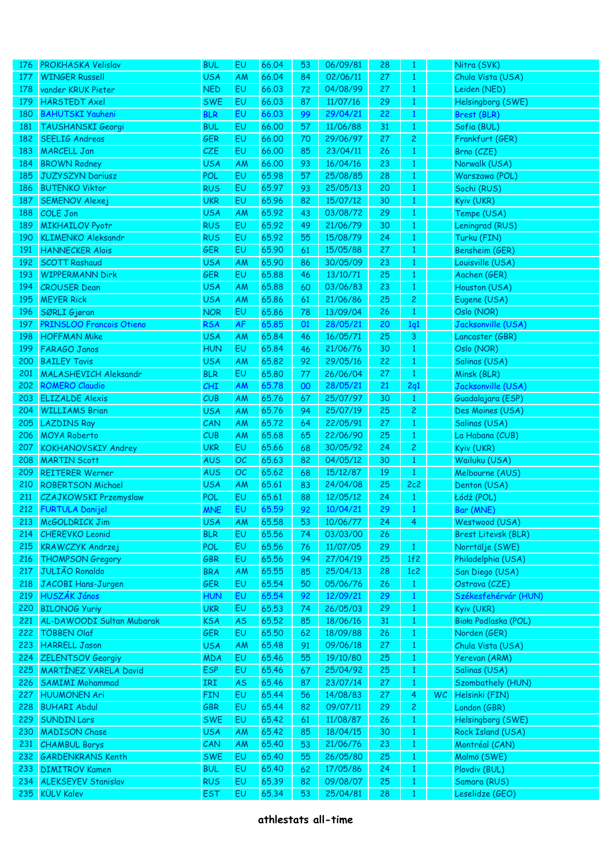| 176        | <b>PROKHASKA Velislav</b>       | <b>BUL</b>        | EU        | 66.04 | 53 | 06/09/81 | 28 | 1              |    | Nitra (SVK)                |
|------------|---------------------------------|-------------------|-----------|-------|----|----------|----|----------------|----|----------------------------|
| 177        | <b>WINGER Russell</b>           | <b>USA</b>        | AM        | 66.04 | 84 | 02/06/11 | 27 | $\mathbf{1}$   |    | Chula Vista (USA)          |
| 178        | vander KRUK Pieter              | <b>NED</b>        | EU        | 66.03 | 72 | 04/08/99 | 27 | $\mathbf{1}$   |    | Leiden (NED)               |
| 179        | <b>HÄRSTEDT Axel</b>            | <b>SWE</b>        | EU        | 66.03 | 87 | 11/07/16 | 29 | $\mathbf{1}$   |    | Helsingborg (SWE)          |
| 180        | <b>BAHUTSKI Yauheni</b>         | <b>BLR</b>        | EU        | 66.03 | 99 | 29/04/21 | 22 | $\mathbf{1}$   |    | Brest (BLR)                |
| <b>181</b> | <b>TAUSHANSKI Georgi</b>        | <b>BUL</b>        | EU        | 66.00 | 57 | 11/06/88 | 31 | $\mathbf{1}$   |    | Sofia (BUL)                |
| 182        | <b>SEELIG Andreas</b>           | GER               | EU        | 66.00 | 70 | 29/06/97 | 27 | $\overline{c}$ |    | Frankfurt (GER)            |
| 183        | <b>MARCELL Jan</b>              | <b>CZE</b>        | EU        | 66.00 | 85 | 23/04/11 | 26 | $\mathbf{1}$   |    | Brno (CZE)                 |
| 184        | <b>BROWN Rodney</b>             | <b>USA</b>        | AM        | 66.00 | 93 | 16/04/16 | 23 | $\mathbf{1}$   |    | Norwalk (USA)              |
| 185        | <b>JUZYSZYN Dariusz</b>         | POL               | EU        | 65.98 | 57 | 25/08/85 | 28 | $\mathbf{1}$   |    | Warszawa (POL)             |
| 186        | <b>BUTENKO Viktor</b>           | <b>RUS</b>        | EU        | 65.97 | 93 | 25/05/13 | 20 | $\mathbf{1}$   |    | Sochi (RUS)                |
| 187        | <b>SEMENOV Alexej</b>           | <b>UKR</b>        | EU        | 65.96 | 82 | 15/07/12 | 30 | $\mathbf{1}$   |    | Kyiv (UKR)                 |
| 188        | <b>COLE Jon</b>                 | <b>USA</b>        | AM        | 65.92 | 43 | 03/08/72 | 29 | $\mathbf{1}$   |    | Tempe (USA)                |
| 189        | <b>MIKHAILOV Pyotr</b>          | <b>RUS</b>        | EU        | 65.92 | 49 | 21/06/79 | 30 | $\mathbf{1}$   |    | Leningrad (RUS)            |
| 190        | <b>KLIMENKO Aleksandr</b>       | <b>RUS</b>        | EU        | 65.92 | 55 | 15/08/79 | 24 | $\mathbf{1}$   |    | Turku (FIN)                |
| 191        | <b>HANNECKER Alois</b>          | GER               | EU        | 65.90 | 61 | 15/05/88 | 27 | $\mathbf{1}$   |    | Bensheim (GER)             |
| 192        | <b>SCOTT Rashaud</b>            | <b>USA</b>        | AM        | 65.90 | 86 | 30/05/09 | 23 | $\mathbf{1}$   |    | Louisville (USA)           |
| 193        | <b>WIPPERMANN Dirk</b>          | GER               | EU        | 65.88 | 46 | 13/10/71 | 25 | $\mathbf{1}$   |    | Aachen (GER)               |
| 194        | <b>CROUSER Dean</b>             | <b>USA</b>        | AM        | 65.88 | 60 | 03/06/83 | 23 | $\mathbf{1}$   |    | Houston (USA)              |
| 195        | <b>MEYER Rick</b>               | <b>USA</b>        | AM        | 65.86 | 61 | 21/06/86 | 25 | $\overline{c}$ |    | Eugene (USA)               |
| 196        | SØRLI Gjøran                    | <b>NOR</b>        | EU        | 65.86 | 78 | 13/09/04 | 26 | $\mathbf{1}$   |    | Oslo (NOR)                 |
| 197        | <b>PRINSLOO Francois Otieno</b> | <b>RSA</b>        | AF        | 65.85 | 01 | 28/05/21 | 20 | 1q1            |    | Jacksonville (USA)         |
| 198        | <b>HOFFMAN Mike</b>             | <b>USA</b>        | AM        | 65.84 | 46 | 16/05/71 | 25 | 3              |    | Lancaster (GBR)            |
| 199        | <b>FARAGO Janos</b>             | <b>HUN</b>        | EU        | 65.84 | 46 | 21/06/76 | 30 | $\mathbf{1}$   |    | Oslo (NOR)                 |
| 200        | <b>BAILEY Tavis</b>             | <b>USA</b>        | AM        | 65.82 | 92 | 29/05/16 | 22 | $\mathbf{1}$   |    | Salinas (USA)              |
| 201        | <b>MALASHEVICH Aleksandr</b>    | <b>BLR</b>        | EU        | 65.80 | 77 | 26/06/04 | 27 | $\mathbf{1}$   |    | Minsk (BLR)                |
| 202        | <b>ROMERO Claudio</b>           | CHI               | AM        | 65.78 | 00 | 28/05/21 | 21 | 2q1            |    | Jacksonville (USA)         |
| 203        | <b>ELIZALDE Alexis</b>          | CUB               | AM        | 65.76 | 67 | 25/07/97 | 30 | $\mathbf{1}$   |    | Guadalajara (ESP)          |
| 204        | <b>WILLIAMS Brian</b>           | <b>USA</b>        | AM        | 65.76 | 94 | 25/07/19 | 25 | $\overline{c}$ |    | Des Moines (USA)           |
| 205        | <b>LAZDINS Ray</b>              | CAN               | AM        | 65.72 | 64 | 22/05/91 | 27 | $\mathbf{1}$   |    | Salinas (USA)              |
| 206        | <b>MOYA Roberto</b>             | CUB               | AM        | 65.68 | 65 | 22/06/90 | 25 | $\mathbf{1}$   |    | La Habana (CUB)            |
| 207        | <b>KOKHANOVSKIY Andrey</b>      | <b>UKR</b>        | EU        | 65.66 | 68 | 30/05/92 | 24 | $\overline{c}$ |    | Kyiv (UKR)                 |
| 208        | <b>MARTIN Scott</b>             | <b>AUS</b>        | OC        | 65.63 | 82 | 04/05/12 | 30 | $\mathbf{1}$   |    | Wailuku (USA)              |
| 209        | <b>REITERER Werner</b>          | <b>AUS</b>        | OC        | 65.62 | 68 | 15/12/87 | 19 | $\mathbf{1}$   |    | Melbourne (AUS)            |
| 210        | <b>ROBERTSON Michael</b>        | <b>USA</b>        | AM        | 65.61 | 83 | 24/04/08 | 25 | 2c2            |    | Denton (USA)               |
| 211        | <b>CZAJKOWSKI Przemyslaw</b>    | <b>POL</b>        | EU        | 65.61 | 88 | 12/05/12 | 24 | $\mathbf{1}$   |    | Łódź (POL)                 |
| 212        | <b>FURTULA Danijel</b>          | <b>MNE</b>        | EU        | 65.59 | 92 | 10/04/21 | 29 | $\mathbf{1}$   |    | Bar (MNE)                  |
| 213        | McGOLDRICK Jim                  |                   | AM        | 65.58 | 53 | 10/06/77 | 24 | $\overline{4}$ |    | Westwood (USA)             |
|            | <b>CHEREVKO Leonid</b>          | USA<br><b>BLR</b> | EU        | 65.56 |    | 03/03/00 |    |                |    | <b>Brest Litevsk (BLR)</b> |
| 214        |                                 |                   |           |       | 74 |          | 26 |                |    |                            |
| 215        | <b>KRAWCZYK Andrzej</b>         | <b>POL</b>        | EU        | 65.56 | 76 | 11/07/05 | 29 | $\mathbf{1}$   |    | Norrtälje (SWE)            |
| 216        | <b>THOMPSON Gregory</b>         | GBR               | EU        | 65.56 | 94 | 27/04/19 | 25 | 1f2            |    | Philadelphia (USA)         |
| 217        | <b>JULIÃO Ronaldo</b>           | <b>BRA</b>        | AM        | 65.55 | 85 | 25/04/13 | 28 | 1c2            |    | San Diego (USA)            |
| 218        | JACOBI Hans-Jurgen              | GER               | EU        | 65.54 | 50 | 05/06/76 | 26 | $\mathbf{1}$   |    | Ostrava (CZE)              |
| 219        | HUSZÁK János                    | <b>HUN</b>        | EU        | 65.54 | 92 | 12/09/21 | 29 | $\mathbf{1}$   |    | Székesfehérvár (HUN)       |
| 220        | <b>BILONOG Yuriy</b>            | <b>UKR</b>        | EU        | 65.53 | 74 | 26/05/03 | 29 | $\mathbf{1}$   |    | Kyiv (UKR)                 |
| 221        | AL-DAWOODI Sultan Mubarak       | <b>KSA</b>        | <b>AS</b> | 65.52 | 85 | 18/06/16 | 31 | $\mathbf{1}$   |    | Biała Podlaska (POL)       |
| 222        | TÖBBEN Olaf                     | <b>GER</b>        | EU        | 65.50 | 62 | 18/09/88 | 26 | $\mathbf{1}$   |    | Norden (GER)               |
| 223        | <b>HARRELL Jason</b>            | <b>USA</b>        | AM        | 65.48 | 91 | 09/06/18 | 27 | $\mathbf{1}$   |    | Chula Vista (USA)          |
| 224        | <b>ZELENTSOV Georgiy</b>        | <b>MDA</b>        | EU        | 65.46 | 55 | 19/10/80 | 25 | $\mathbf{1}$   |    | Yerevan (ARM)              |
| 225        | <b>MARTINEZ VARELA David</b>    | <b>ESP</b>        | EU        | 65.46 | 67 | 25/04/92 | 25 | $\mathbf{1}$   |    | Salinas (USA)              |
| 226        | <b>SAMIMI Mohammad</b>          | IRI               | <b>AS</b> | 65.46 | 87 | 23/07/14 | 27 | $\mathbf{1}$   |    | Szombathely (HUN)          |
| 227        | <b>HUUMONEN Ari</b>             | <b>FIN</b>        | EU        | 65.44 | 56 | 14/08/83 | 27 | 4              | WC | Helsinki (FIN)             |
| 228        | <b>BUHARI Abdul</b>             | GBR               | EU        | 65.44 | 82 | 09/07/11 | 29 | $\mathbf{2}$   |    | London (GBR)               |
| 229        | <b>SUNDIN Lars</b>              | <b>SWE</b>        | EU        | 65.42 | 61 | 11/08/87 | 26 | $\mathbf{1}$   |    | Helsingborg (SWE)          |
| 230        | <b>MADISON Chase</b>            | <b>USA</b>        | AM        | 65.42 | 85 | 18/04/15 | 30 | $\mathbf{1}$   |    | Rock Island (USA)          |
| 231        | <b>CHAMBUL Borys</b>            | CAN               | AM        | 65.40 | 53 | 21/06/76 | 23 | $\mathbf{1}$   |    | Montréal (CAN)             |
| 232        | <b>GARDENKRANS Kenth</b>        | <b>SWE</b>        | EU        | 65.40 | 55 | 26/05/80 | 25 | $\mathbf{1}$   |    | Malmö (SWE)                |
| 233        | <b>DIMITROV Kamen</b>           | <b>BUL</b>        | EU        | 65.40 | 62 | 17/05/86 | 24 | $\mathbf{1}$   |    | Plovdiv (BUL)              |
| 234        | <b>ALEKSEYEV Stanislav</b>      | <b>RUS</b>        | EU        | 65.39 | 82 | 09/08/07 | 25 | $\mathbf{1}$   |    | Samara (RUS)               |
| 235        | <b>KÜLV Kalev</b>               | <b>EST</b>        | EU        | 65.34 | 53 | 25/04/81 | 28 | $\mathbf{1}$   |    | Leselidze (GEO)            |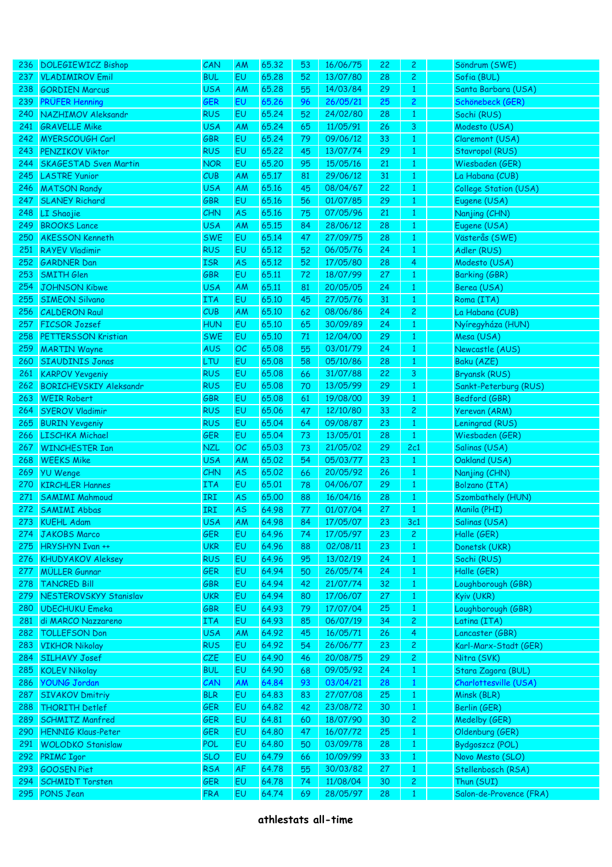| 236 | <b>DOLEGIEWICZ Bishop</b>     | CAN        | AM        | 65.32 | 53 | 16/06/75 | 22 | 2              | Söndrum (SWE)           |
|-----|-------------------------------|------------|-----------|-------|----|----------|----|----------------|-------------------------|
| 237 | <b>VLADIMIROV Emil</b>        | <b>BUL</b> | EU        | 65.28 | 52 | 13/07/80 | 28 | $\overline{c}$ | Sofia (BUL)             |
| 238 | <b>GORDIEN Marcus</b>         | <b>USA</b> | <b>AM</b> | 65.28 | 55 | 14/03/84 | 29 | $\mathbf{1}$   | Santa Barbara (USA)     |
| 239 | <b>PRÜFER Henning</b>         | <b>GER</b> | EU        | 65.26 | 96 | 26/05/21 | 25 | $\overline{c}$ | Schönebeck (GER)        |
| 240 | NAZHIMOV Aleksandr            | <b>RUS</b> | EU        | 65.24 | 52 | 24/02/80 | 28 | $\mathbf{1}$   | Sochi (RUS)             |
| 241 | <b>GRAVELLE Mike</b>          | <b>USA</b> | <b>AM</b> | 65.24 | 65 | 11/05/91 | 26 | 3              | Modesto (USA)           |
| 242 | <b>MYERSCOUGH Carl</b>        | GBR        | EU        | 65.24 | 79 | 09/06/12 | 33 | $\mathbf{1}$   | Claremont (USA)         |
| 243 | <b>PENZIKOV Viktor</b>        | <b>RUS</b> | EU        | 65.22 | 45 | 13/07/74 | 29 | $\mathbf{1}$   | Stavropol (RUS)         |
| 244 | <b>SKAGESTAD Sven Martin</b>  | <b>NOR</b> | EU        | 65,20 | 95 | 15/05/16 | 21 | $\mathbf{1}$   | Wiesbaden (GER)         |
| 245 | <b>LASTRE Yunior</b>          | CUB        | <b>AM</b> | 65.17 | 81 | 29/06/12 | 31 | $\mathbf{1}$   | La Habana (CUB)         |
| 246 | <b>MATSON Randy</b>           | <b>USA</b> | AM        | 65.16 | 45 | 08/04/67 | 22 | $\mathbf{1}$   | College Station (USA)   |
| 247 | <b>SLANEY Richard</b>         | GBR        | EU        | 65.16 | 56 | 01/07/85 | 29 | $\mathbf{1}$   | Eugene (USA)            |
| 248 | LI Shaojie                    | CHN        | AS        | 65.16 | 75 | 07/05/96 | 21 | $\mathbf{1}$   | Nanjing (CHN)           |
| 249 | <b>BROOKS Lance</b>           | <b>USA</b> | AM        | 65.15 | 84 | 28/06/12 | 28 | $\mathbf{1}$   | Eugene (USA)            |
| 250 | <b>AKESSON Kenneth</b>        | <b>SWE</b> | EU        | 65.14 | 47 | 27/09/75 | 28 | $\mathbf{1}$   | Västerås (SWE)          |
| 251 | <b>RAYEV Vladimir</b>         | <b>RUS</b> | EU        | 65.12 | 52 | 06/05/76 | 24 | $\mathbf{1}$   | Adler (RUS)             |
| 252 | <b>GARDNER Dan</b>            | <b>ISR</b> | AS        | 65.12 | 52 | 17/05/80 | 28 | 4              | Modesto (USA)           |
| 253 | <b>SMITH Glen</b>             | GBR        | EU        | 65.11 | 72 | 18/07/99 | 27 | $\mathbf{1}$   | <b>Barking (GBR)</b>    |
| 254 | <b>JOHNSON Kibwe</b>          | <b>USA</b> | <b>AM</b> | 65.11 | 81 | 20/05/05 | 24 | $\mathbf{1}$   | Berea (USA)             |
| 255 | <b>SIMEON Silvano</b>         | <b>ITA</b> | EU        | 65.10 | 45 | 27/05/76 | 31 | $\mathbf{1}$   | Roma (ITA)              |
| 256 | <b>CALDERON Raul</b>          | CUB        | <b>AM</b> | 65.10 | 62 | 08/06/86 | 24 | $\overline{c}$ | La Habana (CUB)         |
| 257 | <b>FICSOR Jozsef</b>          | <b>HUN</b> | EU        | 65.10 | 65 | 30/09/89 | 24 | $\mathbf{1}$   | Nyíregyháza (HUN)       |
| 258 | PETTERSSON Kristian           | <b>SWE</b> | EU        | 65.10 | 71 | 12/04/00 | 29 | $\mathbf{1}$   | Mesa (USA)              |
| 259 | <b>MARTIN Wayne</b>           | <b>AUS</b> | OC        | 65.08 | 55 | 03/01/79 | 24 | $\mathbf{1}$   | Newcastle (AUS)         |
| 260 | <b>SIAUDINIS Jonas</b>        | <b>LTU</b> | EU        | 65.08 | 58 | 05/10/86 | 28 | $\mathbf{1}$   | Baku (AZE)              |
| 261 | <b>KARPOV Yevgeniy</b>        | <b>RUS</b> | EU        | 65.08 | 66 | 31/07/88 | 22 | 3              | <b>Bryansk (RUS)</b>    |
| 262 | <b>BORICHEVSKIY Aleksandr</b> | <b>RUS</b> | EU        | 65.08 | 70 | 13/05/99 | 29 | $\mathbf{1}$   | Sankt-Peterburg (RUS)   |
| 263 | <b>WEIR Robert</b>            | <b>GBR</b> | EU        | 65.08 | 61 | 19/08/00 | 39 | $\mathbf{1}$   | Bedford (GBR)           |
| 264 | <b>SYEROV Vladimir</b>        | <b>RUS</b> | EU        | 65.06 | 47 | 12/10/80 | 33 | $\overline{c}$ | Yerevan (ARM)           |
| 265 | <b>BURIN Yevgeniy</b>         | <b>RUS</b> | EU        | 65.04 | 64 | 09/08/87 | 23 | $\mathbf{1}$   | Leningrad (RUS)         |
| 266 | LISCHKA Michael               | <b>GER</b> | EU        | 65.04 | 73 | 13/05/01 | 28 | $\mathbf{1}$   | Wiesbaden (GER)         |
| 267 | <b>WINCHESTER Ian</b>         | <b>NZL</b> | OC        | 65.03 | 73 | 21/05/02 | 29 | 2c1            | Salinas (USA)           |
| 268 | <b>WEEKS Mike</b>             | <b>USA</b> | AM        | 65.02 | 54 | 05/03/77 | 23 | $\mathbf{1}$   | Oakland (USA)           |
| 269 | <b>YU Wenge</b>               | CHN        | AS        | 65.02 | 66 | 20/05/92 | 26 | $\mathbf{1}$   | Nanjing (CHN)           |
| 270 | <b>KIRCHLER Hannes</b>        | <b>ITA</b> | EU        | 65.01 | 78 | 04/06/07 | 29 | $\mathbf{1}$   | Bolzano (ITA)           |
| 271 | <b>SAMIMI Mahmoud</b>         | IRI        | AS        | 65.00 | 88 | 16/04/16 | 28 | $\mathbf{1}$   | Szombathely (HUN)       |
| 272 | <b>SAMIMI Abbas</b>           | IRI        | <b>AS</b> | 64.98 | 77 | 01/07/04 | 27 | $\mathbf{1}$   | Manila (PHI)            |
| 273 | <b>KUEHL Adam</b>             | <b>USA</b> | AM        | 64.98 | 84 | 17/05/07 | 23 | 3c1            | Salinas (USA)           |
| 274 | <b>JAKOBS Marco</b>           | <b>GER</b> | EU        | 64.96 | 74 | 17/05/97 | 23 | $\overline{c}$ | Halle (GER)             |
| 275 | HRYSHYN Ivan ++               | <b>UKR</b> | EU        | 64.96 | 88 | 02/08/11 | 23 | $\mathbf{1}$   | Donetsk (UKR)           |
| 276 | <b>KHUDYAKOV Aleksey</b>      | <b>RUS</b> | EU        | 64.96 | 95 | 13/02/19 | 24 | $\mathbf{1}$   | Sochi (RUS)             |
| 277 | <b>MÜLLER Gunnar</b>          | <b>GER</b> | EU        | 64.94 | 50 | 26/05/74 | 24 | $\mathbf{1}$   | Halle (GER)             |
| 278 | <b>TANCRED Bill</b>           | GBR        | EU        | 64.94 | 42 | 21/07/74 | 32 | $\mathbf{1}$   | Loughborough (GBR)      |
| 279 | NESTEROVSKYY Stanislav        | <b>UKR</b> | EU        | 64.94 | 80 | 17/06/07 | 27 | $\mathbf{1}$   | Kyiv (UKR)              |
| 280 | <b>UDECHUKU Emeka</b>         | GBR        | EU        | 64.93 | 79 | 17/07/04 | 25 | $\mathbf{1}$   | Loughborough (GBR)      |
| 281 | di MARCO Nazzareno            | ITA        | EU        | 64.93 | 85 | 06/07/19 | 34 | $\mathbf{2}$   | Latina (ITA)            |
| 282 | <b>TOLLEFSON Don</b>          | <b>USA</b> | <b>AM</b> | 64.92 | 45 | 16/05/71 | 26 | $\overline{4}$ | Lancaster (GBR)         |
| 283 | <b>VIKHOR Nikolay</b>         | <b>RUS</b> | EU        | 64.92 | 54 | 26/06/77 | 23 | $\mathbf{2}$   | Karl-Marx-Stadt (GER)   |
| 284 | <b>SILHAVY Josef</b>          | CZE        | EU        | 64.90 | 46 | 20/08/75 | 29 | $\mathbf{2}$   | Nitra (SVK)             |
| 285 | <b>KOLEV Nikolay</b>          | <b>BUL</b> | EU        | 64.90 | 68 | 09/05/92 | 24 | $\mathbf{1}$   | Stara Zagora (BUL)      |
| 286 | <b>YOUNG Jordan</b>           | CAN        | <b>AM</b> | 64.84 | 93 | 03/04/21 | 28 | $\mathbf{1}$   | Charlottesville (USA)   |
| 287 | <b>SIVAKOV Dmitriy</b>        | <b>BLR</b> | EU        | 64.83 | 83 | 27/07/08 | 25 | $\mathbf{1}$   | Minsk (BLR)             |
| 288 | <b>THORITH Detlef</b>         | <b>GER</b> | EU        | 64.82 | 42 | 23/08/72 | 30 | $\mathbf{1}$   | Berlin (GER)            |
| 289 | <b>SCHMITZ Manfred</b>        | GER        | EU        | 64.81 | 60 | 18/07/90 | 30 | $\mathbf{2}$   | Medelby (GER)           |
| 290 | <b>HENNIG Klaus-Peter</b>     | GER        | EU        | 64.80 | 47 | 16/07/72 | 25 | $\mathbf{1}$   | Oldenburg (GER)         |
| 291 | <b>WOLODKO Stanislaw</b>      | POL        | EU        | 64.80 | 50 | 03/09/78 | 28 | $\mathbf{1}$   | Bydgoszcz (POL)         |
| 292 | <b>PRIMC Igor</b>             | <b>SLO</b> | EU        | 64.79 | 66 | 10/09/99 | 33 | $\mathbf{1}$   | Novo Mesto (SLO)        |
| 293 | <b>GOOSEN Piet</b>            | <b>RSA</b> | AF        | 64.78 | 55 | 30/03/82 | 27 | $\mathbf{1}$   | Stellenbosch (RSA)      |
| 294 | <b>SCHMIDT Torsten</b>        | <b>GER</b> | EU        | 64.78 | 74 | 11/08/04 | 30 | $\mathbf{2}$   | Thun (SUI)              |
| 295 | <b>PONS Jean</b>              | <b>FRA</b> | EU        | 64.74 | 69 | 28/05/97 | 28 | $\mathbf{1}$   | Salon-de-Provence (FRA) |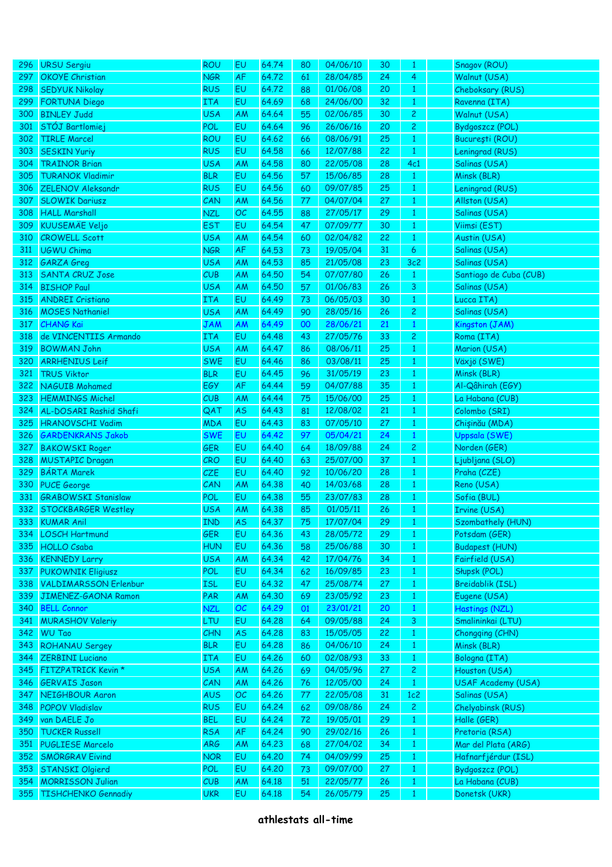| 296 | <b>URSU Sergiu</b>           | ROU               | EU        | 64.74 | 80 | 04/06/10 | 30 | 1              | Snagov (ROU)            |
|-----|------------------------------|-------------------|-----------|-------|----|----------|----|----------------|-------------------------|
| 297 | <b>OKOYE</b> Christian       | <b>NGR</b>        | AF        | 64.72 | 61 | 28/04/85 | 24 | $\overline{4}$ | Walnut (USA)            |
| 298 | <b>SEDYUK Nikolay</b>        | <b>RUS</b>        | EU        | 64.72 | 88 | 01/06/08 | 20 | $\mathbf{1}$   | Cheboksary (RUS)        |
| 299 | <b>FORTUNA Diego</b>         | ITA               | EU        | 64.69 | 68 | 24/06/00 | 32 | $\mathbf{1}$   | Ravenna (ITA)           |
| 300 | <b>BINLEY Judd</b>           | <b>USA</b>        | <b>AM</b> | 64.64 | 55 | 02/06/85 | 30 | $\mathbf{2}$   | Walnut (USA)            |
| 301 | STÓJ Bartlomiej              | POL               | EU        | 64.64 | 96 | 26/06/16 | 20 | $\mathbf{2}$   | Bydgoszcz (POL)         |
| 302 | <b>TIRLE Marcel</b>          | <b>ROU</b>        | EU        | 64.62 | 66 | 08/06/91 | 25 | $\mathbf{1}$   | București (ROU)         |
| 303 | <b>SESKIN Yuriy</b>          | <b>RUS</b>        | EU        | 64.58 | 66 | 12/07/88 | 22 | $\mathbf{1}$   | Leningrad (RUS)         |
| 304 | <b>TRAINOR Brian</b>         | <b>USA</b>        | <b>AM</b> | 64.58 | 80 | 22/05/08 | 28 | 4c1            | Salinas (USA)           |
| 305 | <b>TURANOK Vladimir</b>      | <b>BLR</b>        | EU        | 64.56 | 57 | 15/06/85 | 28 | $\mathbf{1}$   | Minsk (BLR)             |
| 306 | <b>ZELENOV Aleksandr</b>     | <b>RUS</b>        | EU        | 64.56 | 60 | 09/07/85 | 25 | $\mathbf{1}$   | Leningrad (RUS)         |
| 307 | <b>SLOWIK Dariusz</b>        | CAN               | <b>AM</b> | 64.56 | 77 | 04/07/04 | 27 | $\mathbf{1}$   | Allston (USA)           |
| 308 | <b>HALL Marshall</b>         | <b>NZL</b>        | OC        | 64.55 | 88 | 27/05/17 | 29 |                | Salinas (USA)           |
|     | <b>KUUSEMÄE Veljo</b>        | <b>EST</b>        |           | 64.54 |    | 07/09/77 |    | $\mathbf{1}$   |                         |
| 309 |                              |                   | EU        |       | 47 |          | 30 | $\mathbf{1}$   | Viimsi (EST)            |
| 310 | <b>CROWELL Scott</b>         | <b>USA</b>        | AM        | 64.54 | 60 | 02/04/82 | 22 | $\mathbf{1}$   | Austin (USA)            |
| 311 | <b>UGWU Chima</b>            | <b>NGR</b>        | AF        | 64.53 | 73 | 19/05/04 | 31 | 6              | Salinas (USA)           |
| 312 | <b>GARZA</b> Greg            | <b>USA</b>        | <b>AM</b> | 64.53 | 85 | 21/05/08 | 23 | 3c2            | Salinas (USA)           |
| 313 | SANTA CRUZ Jose              | CUB               | AM        | 64.50 | 54 | 07/07/80 | 26 | $\mathbf{1}$   | Santiago de Cuba (CUB)  |
| 314 | <b>BISHOP Paul</b>           | <b>USA</b>        | AM        | 64.50 | 57 | 01/06/83 | 26 | 3              | Salinas (USA)           |
| 315 | <b>ANDREI</b> Cristiano      | <b>ITA</b>        | EU        | 64.49 | 73 | 06/05/03 | 30 | $\mathbf{1}$   | Lucca ITA)              |
| 316 | <b>MOSES Nathaniel</b>       | <b>USA</b>        | <b>AM</b> | 64.49 | 90 | 28/05/16 | 26 | $\mathbf{2}$   | Salinas (USA)           |
| 317 | <b>CHANG Kai</b>             | <b>JAM</b>        | AM        | 64.49 | 00 | 28/06/21 | 21 | $\mathbf{1}$   | Kingston (JAM)          |
| 318 | de VINCENTIIS Armando        | <b>ITA</b>        | EU        | 64.48 | 43 | 27/05/76 | 33 | $\mathbf{2}$   | Roma (ITA)              |
| 319 | <b>BOWMAN John</b>           | <b>USA</b>        | <b>AM</b> | 64.47 | 86 | 08/06/11 | 25 | $\mathbf{1}$   | Marion (USA)            |
| 320 | <b>ARRHENIUS Leif</b>        | <b>SWE</b>        | EU        | 64.46 | 86 | 03/08/11 | 25 | $\mathbf{1}$   | Växjö (SWE)             |
| 321 | <b>TRUS Viktor</b>           | <b>BLR</b>        | EU        | 64.45 | 96 | 31/05/19 | 23 | $\mathbf{1}$   | Minsk (BLR)             |
| 322 | <b>NAGUIB Mohamed</b>        | EGY               | AF        | 64.44 | 59 | 04/07/88 | 35 | $\mathbf{1}$   | Al-Qâhirah (EGY)        |
| 323 | <b>HEMMINGS Michel</b>       | CUB               | <b>AM</b> | 64.44 | 75 | 15/06/00 | 25 | $\mathbf{1}$   | La Habana (CUB)         |
| 324 | AL-DOSARI Rashid Shafi       | QAT               | AS        | 64.43 | 81 | 12/08/02 | 21 | $\mathbf{1}$   | Colombo (SRI)           |
| 325 | <b>HRANOVSCHI Vadim</b>      | <b>MDA</b>        | EU        | 64.43 | 83 | 07/05/10 | 27 | $\mathbf{1}$   | Chișinău (MDA)          |
| 326 | <b>GARDENKRANS Jakob</b>     | <b>SWE</b>        | EU        | 64.42 | 97 | 05/04/21 | 24 | $\mathbf{1}$   | <b>Uppsala (SWE)</b>    |
| 327 | <b>BAKOWSKI Roger</b>        | <b>GER</b>        | EU        | 64.40 | 64 | 18/09/88 | 24 | $\mathbf{2}$   | Norden (GER)            |
| 328 | <b>MUSTAPIC Dragan</b>       | CRO               | EU        | 64.40 | 63 | 25/07/00 | 37 | $\mathbf{1}$   | Ljubljana (SLO)         |
| 329 | <b>BÁRTA Marek</b>           | <b>CZE</b>        | EU        | 64.40 | 92 | 10/06/20 | 28 | $\mathbf{1}$   | Praha (CZE)             |
| 330 | <b>PUCE George</b>           | CAN               | <b>AM</b> | 64.38 | 40 | 14/03/68 | 28 | $\mathbf{1}$   | Reno (USA)              |
| 331 | <b>GRABOWSKI Stanislaw</b>   | <b>POL</b>        | EU        | 64.38 | 55 | 23/07/83 | 28 | $\mathbf{1}$   | Sofia (BUL)             |
| 332 | <b>STOCKBARGER Westley</b>   | <b>USA</b>        | AM        | 64.38 | 85 | 01/05/11 | 26 | $\mathbf{1}$   | Irvine (USA)            |
| 333 | <b>KUMAR Anil</b>            | <b>IND</b>        | <b>AS</b> | 64.37 | 75 | 17/07/04 | 29 | $\mathbf{1}$   | Szombathely (HUN)       |
| 334 | <b>LOSCH Hartmund</b>        | <b>GER</b>        | EU        | 64.36 | 43 | 28/05/72 | 29 | $\mathbf{1}$   | Potsdam (GER)           |
| 335 | <b>HOLLO Csaba</b>           | <b>HUN</b>        | EU        | 64.36 | 58 | 25/06/88 | 30 | $\mathbf{1}$   | <b>Budapest (HUN)</b>   |
| 336 | <b>KENNEDY Larry</b>         |                   |           | 64.34 | 42 | 17/04/76 | 34 |                | Fairfield (USA)         |
|     |                              | <b>USA</b><br>POL | AM        |       |    | 16/09/85 |    | $\mathbf{1}$   | Słupsk (POL)            |
| 337 | <b>PUKOWNIK Eligiusz</b>     |                   | EU        | 64.34 | 62 | 25/08/74 | 23 | $\mathbf{1}$   |                         |
| 338 | <b>VALDIMARSSON Erlenbur</b> | <b>ISL</b>        | EU        | 64.32 | 47 |          | 27 | $\mathbf{1}$   | <b>Breidablik (ISL)</b> |
| 339 | JIMENEZ-GAONA Ramon          | PAR               | AM        | 64.30 | 69 | 23/05/92 | 23 | $\mathbf{1}$   | Eugene (USA)            |
| 340 | <b>BELL Connor</b>           | <b>NZL</b>        | OC        | 64.29 | 01 | 23/01/21 | 20 | $\mathbf{1}$   | Hastings (NZL)          |
| 341 | <b>MURASHOV Valeriy</b>      | <b>LTU</b>        | EU        | 64.28 | 64 | 09/05/88 | 24 | $\mathbf{3}$   | Smalininkai (LTU)       |
|     | 342 WU Tao                   | CHN               | <b>AS</b> | 64.28 | 83 | 15/05/05 | 22 | $\mathbf{1}$   | Chongqing (CHN)         |
| 343 | <b>ROHANAU Sergey</b>        | <b>BLR</b>        | EU        | 64.28 | 86 | 04/06/10 | 24 | $\mathbf{1}$   | Minsk (BLR)             |
| 344 | <b>ZERBINI Luciano</b>       | <b>ITA</b>        | EU        | 64.26 | 60 | 02/08/93 | 33 | $\mathbf{1}$   | Bologna (ITA)           |
| 345 | FITZPATRICK Kevin *          | <b>USA</b>        | AM        | 64.26 | 69 | 04/05/96 | 27 | $\mathbf{2}$   | Houston (USA)           |
| 346 | <b>GERVAIS Jason</b>         | CAN               | AM        | 64.26 | 76 | 12/05/00 | 24 | $\mathbf{1}$   | USAF Academy (USA)      |
| 347 | NEIGHBOUR Aaron              | <b>AUS</b>        | OC        | 64.26 | 77 | 22/05/08 | 31 | 1c2            | Salinas (USA)           |
| 348 | <b>POPOV Vladislav</b>       | <b>RUS</b>        | EU        | 64.24 | 62 | 09/08/86 | 24 | $\overline{c}$ | Chelyabinsk (RUS)       |
| 349 | van DAELE Jo                 | <b>BEL</b>        | EU        | 64.24 | 72 | 19/05/01 | 29 | $\mathbf{1}$   | Halle (GER)             |
| 350 | <b>TUCKER Russell</b>        | <b>RSA</b>        | AF        | 64.24 | 90 | 29/02/16 | 26 | $\mathbf{1}$   | Pretoria (RSA)          |
| 351 | <b>PUGLIESE Marcelo</b>      | <b>ARG</b>        | AM        | 64.23 | 68 | 27/04/02 | 34 | $\mathbf{1}$   | Mar del Plata (ARG)     |
| 352 | <b>SMÖRGRAV Eivind</b>       | <b>NOR</b>        | EU        | 64.20 | 74 | 04/09/99 | 25 | $\mathbf{1}$   | Hafnarfjérdur (ISL)     |
| 353 | <b>STANSKI Olgierd</b>       | <b>POL</b>        | EU        | 64.20 | 73 | 09/07/00 | 27 | $\mathbf{1}$   | Bydgoszcz (POL)         |
| 354 | <b>MORRISSON Julian</b>      | CUB               | AM        | 64.18 | 51 | 22/05/77 | 26 | $\mathbf{1}$   | La Habana (CUB)         |
| 355 | TISHCHENKO Gennadiy          | <b>UKR</b>        | EU        | 64.18 | 54 | 26/05/79 | 25 | $\mathbf{1}$   | Donetsk (UKR)           |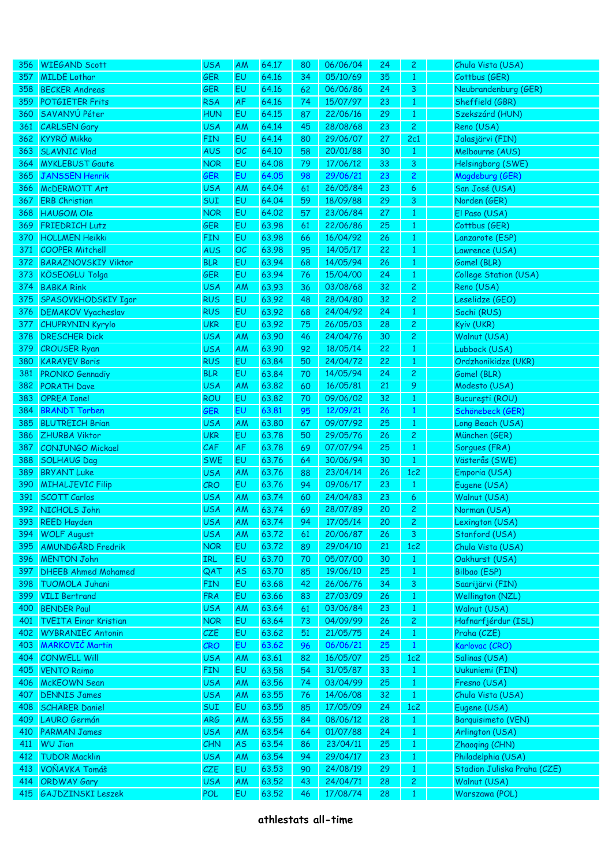| 356 | <b>WIEGAND Scott</b>         | <b>USA</b> | AM        | 64.17 | 80 | 06/06/04 | 24 | 2              | Chula Vista (USA)           |
|-----|------------------------------|------------|-----------|-------|----|----------|----|----------------|-----------------------------|
| 357 | <b>MILDE Lothar</b>          | <b>GER</b> | EU        | 64.16 | 34 | 05/10/69 | 35 | $\mathbf{1}$   | Cottbus (GER)               |
| 358 | <b>BECKER Andreas</b>        | <b>GER</b> | EU        | 64.16 | 62 | 06/06/86 | 24 | 3              | Neubrandenburg (GER)        |
| 359 | <b>POTGIETER Frits</b>       | <b>RSA</b> | AF        | 64.16 | 74 | 15/07/97 | 23 | $\mathbf{1}$   | Sheffield (GBR)             |
| 360 | SAVANYÚ Péter                | <b>HUN</b> | EU        | 64.15 | 87 | 22/06/16 | 29 | $\mathbf{1}$   | Szekszárd (HUN)             |
| 361 | <b>CARLSEN Gary</b>          | <b>USA</b> | <b>AM</b> | 64.14 | 45 | 28/08/68 | 23 | $\overline{c}$ | Reno (USA)                  |
| 362 | <b>KYYRÖ Mikko</b>           | <b>FIN</b> | EU        | 64.14 | 80 | 29/06/07 | 27 | 2c1            | Jalasjärvi (FIN)            |
| 363 | <b>SLAVNIC Vlad</b>          | <b>AUS</b> | OC        | 64.10 | 58 | 20/01/88 | 30 | $\mathbf{1}$   | Melbourne (AUS)             |
| 364 | <b>MYKLEBUST Gaute</b>       | <b>NOR</b> | EU        | 64.08 | 79 | 17/06/12 | 33 | 3              | Helsingborg (SWE)           |
| 365 | <b>JANSSEN Henrik</b>        | GER        | EU        | 64.05 | 98 | 29/06/21 | 23 | $\overline{c}$ | Magdeburg (GER)             |
| 366 | McDERMOTT Art                | <b>USA</b> | <b>AM</b> | 64.04 | 61 | 26/05/84 | 23 | 6              | San José (USA)              |
| 367 | <b>ERB Christian</b>         | SUI        | EU        | 64.04 | 59 | 18/09/88 | 29 | 3              | Norden (GER)                |
| 368 | <b>HAUGOM Ole</b>            | <b>NOR</b> | EU        | 64.02 | 57 | 23/06/84 | 27 | $\mathbf{1}$   | El Paso (USA)               |
| 369 | FRIEDRICH Lutz               | <b>GER</b> | EU        | 63.98 | 61 | 22/06/86 | 25 | $\mathbf{1}$   | Cottbus (GER)               |
| 370 | <b>HOLLMEN Heikki</b>        | <b>FIN</b> | EU        | 63.98 | 66 | 16/04/92 | 26 | $\mathbf{1}$   | Lanzarote (ESP)             |
| 371 | <b>COOPER Mitchell</b>       | <b>AUS</b> | OC        | 63.98 | 95 | 14/05/17 | 22 | $\mathbf{1}$   | Lawrence (USA)              |
| 372 | <b>BARAZNOVSKIY Viktor</b>   | <b>BLR</b> | EU        | 63.94 | 68 | 14/05/94 | 26 | $\mathbf{1}$   | Gomel (BLR)                 |
| 373 | KÖSEOGLU Tolga               | <b>GER</b> | EU        | 63.94 | 76 | 15/04/00 | 24 | $\mathbf{1}$   | College Station (USA)       |
| 374 | <b>BABKA Rink</b>            | <b>USA</b> | <b>AM</b> | 63.93 | 36 | 03/08/68 | 32 | $\overline{c}$ | Reno (USA)                  |
| 375 | SPASOVKHODSKIY Igor          | <b>RUS</b> | EU        | 63.92 | 48 | 28/04/80 | 32 | $\overline{c}$ | Leselidze (GEO)             |
| 376 | <b>DEMAKOV Vyacheslav</b>    | <b>RUS</b> | EU        | 63.92 | 68 | 24/04/92 | 24 | $\mathbf{1}$   | Sochi (RUS)                 |
| 377 | <b>CHUPRYNIN Kyrylo</b>      | <b>UKR</b> | EU        | 63.92 | 75 | 26/05/03 | 28 | $\overline{c}$ | Kyiv (UKR)                  |
| 378 | <b>DRESCHER Dick</b>         | <b>USA</b> | <b>AM</b> | 63.90 | 46 | 24/04/76 | 30 | $\overline{c}$ | Walnut (USA)                |
| 379 | <b>CROUSER Ryan</b>          | <b>USA</b> | AM        | 63.90 | 92 | 18/05/14 | 22 | $\mathbf{1}$   | Lubbock (USA)               |
| 380 | <b>KARAYEV Boris</b>         | <b>RUS</b> | EU        | 63.84 | 50 | 24/04/72 | 22 | $\mathbf{1}$   | Ordzhonikidze (UKR)         |
| 381 | <b>PRONKO Gennadiy</b>       | <b>BLR</b> | EU        | 63.84 | 70 | 14/05/94 | 24 | $\overline{c}$ | Gomel (BLR)                 |
| 382 | PORATH Dave                  | <b>USA</b> | <b>AM</b> | 63.82 | 60 | 16/05/81 | 21 | 9              | Modesto (USA)               |
| 383 | <b>OPREA Ionel</b>           | <b>ROU</b> | EU        | 63.82 | 70 | 09/06/02 | 32 | $\mathbf{1}$   | București (ROU)             |
| 384 | <b>BRANDT Torben</b>         | GER        | EU        | 63.81 | 95 | 12/09/21 | 26 | $\mathbf{1}$   | Schönebeck (GER)            |
| 385 | <b>BLUTREICH Brian</b>       | <b>USA</b> | AM        | 63.80 | 67 | 09/07/92 | 25 | $\mathbf{1}$   | Long Beach (USA)            |
| 386 | <b>ZHURBA Viktor</b>         | <b>UKR</b> | EU        | 63.78 | 50 | 29/05/76 | 26 | $\overline{c}$ | München (GER)               |
| 387 | <b>CONJUNGO Mickael</b>      | CAF        | AF        | 63.78 | 69 | 07/07/94 | 25 | $\mathbf{1}$   | Sorgues (FRA)               |
| 388 | <b>SOLHAUG Dag</b>           | <b>SWE</b> | EU        | 63.76 | 64 | 30/06/94 | 30 | $\mathbf{1}$   | Västerås (SWE)              |
| 389 | <b>BRYANT Luke</b>           | <b>USA</b> | AM        | 63.76 | 88 | 23/04/14 | 26 | 1c2            | Emporia (USA)               |
| 390 | <b>MIHALJEVIC Filip</b>      | CRO        | EU        | 63.76 | 94 | 09/06/17 | 23 | $\mathbf{1}$   | Eugene (USA)                |
| 391 | <b>SCOTT Carlos</b>          | <b>USA</b> | <b>AM</b> | 63.74 | 60 | 24/04/83 | 23 | 6              | Walnut (USA)                |
| 392 | NICHOLS John                 | <b>USA</b> | AM        | 63.74 | 69 | 28/07/89 | 20 | $\overline{c}$ | Norman (USA)                |
| 393 | <b>REED Hayden</b>           | <b>USA</b> | AM        | 63.74 | 94 | 17/05/14 | 20 | $\mathbf{2}$   | Lexington (USA)             |
| 394 | <b>WOLF August</b>           | <b>USA</b> | AM        | 63.72 | 61 | 20/06/87 | 26 | 3              | Stanford (USA)              |
| 395 | <b>AMUNDGÅRD Fredrik</b>     | <b>NOR</b> | EU        | 63.72 | 89 | 29/04/10 | 21 | 1c2            | Chula Vista (USA)           |
| 396 | <b>MENTON John</b>           | <b>IRL</b> | EU        | 63.70 | 70 | 05/07/00 | 30 | $\mathbf{1}$   | Oakhurst (USA)              |
| 397 | <b>DHEEB Ahmed Mohamed</b>   | QAT        | <b>AS</b> | 63.70 | 85 | 19/06/10 | 25 | $\mathbf{1}$   | Bilbao (ESP)                |
| 398 | <b>TUOMOLA Juhani</b>        | <b>FIN</b> | EU        | 63.68 | 42 | 26/06/76 | 34 | $\mathbf{3}$   | Saarijärvi (FIN)            |
| 399 | <b>VILI Bertrand</b>         | <b>FRA</b> | EU        | 63.66 | 83 | 27/03/09 | 26 | $\mathbf{1}$   | Wellington (NZL)            |
| 400 | <b>BENDER Paul</b>           | <b>USA</b> | AM        | 63.64 | 61 | 03/06/84 | 23 | $\mathbf{1}$   | Walnut (USA)                |
| 401 | <b>TVEITA Einar Kristian</b> | <b>NOR</b> | EU        | 63.64 | 73 | 04/09/99 | 26 | $\mathbf{2}$   | Hafnarfjérdur (ISL)         |
| 402 | <b>WYBRANIEC Antonin</b>     | CZE        | EU        | 63.62 | 51 | 21/05/75 | 24 | $\mathbf{1}$   | Praha (CZE)                 |
| 403 | <b>MARKOVIĆ Martin</b>       | CRO        | EU        | 63.62 | 96 | 06/06/21 | 25 | $\mathbf{1}$   | Karlovac (CRO)              |
| 404 | <b>CONWELL Will</b>          | <b>USA</b> | AM        | 63.61 | 82 | 16/05/07 | 25 | 1c2            | Salinas (USA)               |
| 405 | <b>VENTO Raimo</b>           | <b>FIN</b> | EU        |       |    | 31/05/87 | 33 | $\mathbf{1}$   | Uukuniemi (FIN)             |
|     |                              |            |           | 63.58 | 54 | 03/04/99 |    | $\mathbf{1}$   |                             |
| 406 | <b>McKEOWN Sean</b>          | <b>USA</b> | AM        | 63.56 | 74 | 14/06/08 | 25 |                | Fresno (USA)                |
| 407 | <b>DENNIS James</b>          | <b>USA</b> | AM        | 63.55 | 76 |          | 32 | $\mathbf{1}$   | Chula Vista (USA)           |
| 408 | <b>SCHÄRER Daniel</b>        | <b>SUI</b> | EU        | 63.55 | 85 | 17/05/09 | 24 | 1c2            | Eugene (USA)                |
| 409 | <b>LAURO Germán</b>          | <b>ARG</b> | AM        | 63.55 | 84 | 08/06/12 | 28 | $\mathbf{1}$   | <b>Barquisimeto (VEN)</b>   |
| 410 | <b>PARMAN James</b>          | <b>USA</b> | AM        | 63.54 | 64 | 01/07/88 | 24 | $\mathbf{1}$   | Arlington (USA)             |
| 411 | <b>WU Jian</b>               | CHN        | AS        | 63.54 | 86 | 23/04/11 | 25 | $\mathbf{1}$   | Zhaoqing (CHN)              |
| 412 | <b>TUDOR Macklin</b>         | <b>USA</b> | AM        | 63.54 | 94 | 29/04/17 | 23 | $\mathbf{1}$   | Philadelphia (USA)          |
| 413 | VOŇAVKA Tomáš                | CZE        | EU        | 63.53 | 90 | 24/08/19 | 29 | $\mathbf{1}$   | Stadion Juliska Praha (CZE) |
| 414 | <b>ORDWAY Gary</b>           | <b>USA</b> | AM        | 63.52 | 43 | 24/04/71 | 28 | $\mathbf{2}$   | Walnut (USA)                |
| 415 | <b>GAJDZINSKI Leszek</b>     | POL        | EU        | 63.52 | 46 | 17/08/74 | 28 | $\mathbf{1}$   | Warszawa (POL)              |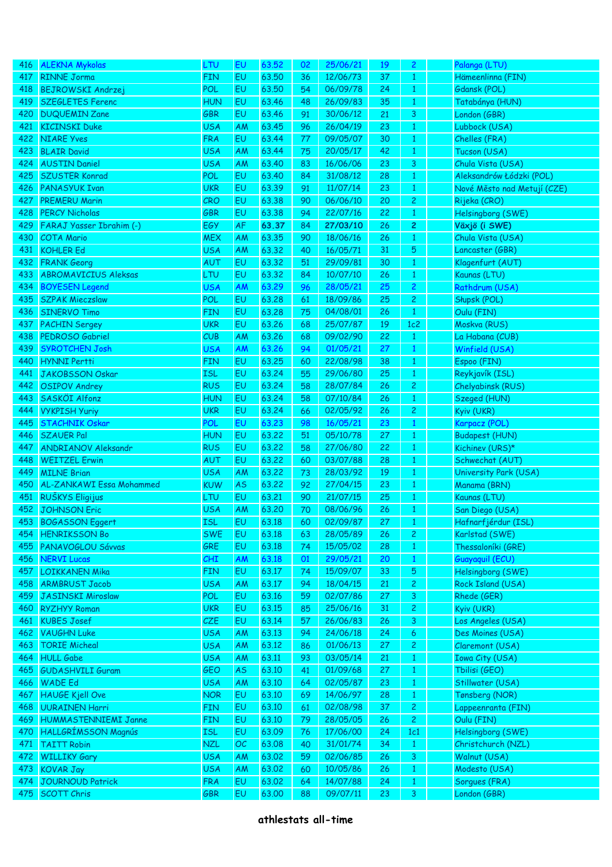| 416 | <b>ALEKNA Mykolas</b>                    | LTU        | EU              | 63.52 | 02 | 25/06/21 | 19 | $\overline{c}$               | Palanga (LTU)                         |
|-----|------------------------------------------|------------|-----------------|-------|----|----------|----|------------------------------|---------------------------------------|
| 417 | <b>RINNE Jorma</b>                       | <b>FIN</b> | EU              | 63.50 | 36 | 12/06/73 | 37 | $\mathbf{1}$                 | Hämeenlinna (FIN)                     |
| 418 | <b>BEJROWSKI Andrzej</b>                 | POL        | EU              | 63.50 | 54 | 06/09/78 | 24 | $\mathbf{1}$                 | Gdansk (POL)                          |
| 419 | <b>SZEGLETES Ferenc</b>                  | <b>HUN</b> | EU              | 63.46 | 48 | 26/09/83 | 35 | $\mathbf{1}$                 | Tatabánya (HUN)                       |
| 420 | <b>DUQUEMIN Zane</b>                     | GBR        | EU              | 63.46 | 91 | 30/06/12 | 21 | 3                            | London (GBR)                          |
| 421 | <b>KICINSKI Duke</b>                     | <b>USA</b> | AM              | 63.45 | 96 | 26/04/19 | 23 | $\mathbf{1}$                 | Lubbock (USA)                         |
| 422 | <b>NIARE Yves</b>                        | <b>FRA</b> | EU              | 63.44 | 77 | 09/05/07 | 30 | $\mathbf{1}$                 | Chelles (FRA)                         |
| 423 | <b>BLAIR David</b>                       | <b>USA</b> | <b>AM</b>       | 63.44 | 75 | 20/05/17 | 42 | $\mathbf{1}$                 | Tucson (USA)                          |
| 424 | <b>AUSTIN Daniel</b>                     | <b>USA</b> | <b>AM</b>       | 63.40 | 83 | 16/06/06 | 23 | 3                            | Chula Vista (USA)                     |
| 425 | <b>SZUSTER Konrad</b>                    | POL        | EU              | 63,40 | 84 | 31/08/12 | 28 | $\mathbf{1}$                 | Aleksandrów Łódzki (POL)              |
| 426 | <b>PANASYUK Ivan</b>                     | <b>UKR</b> | EU              | 63.39 | 91 | 11/07/14 | 23 | $\mathbf{1}$                 | Nové Město nad Metují (CZE)           |
| 427 | <b>PREMERU Marin</b>                     | CRO        | EU              | 63.38 | 90 | 06/06/10 | 20 | $\overline{c}$               | Rijeka (CRO)                          |
| 428 | <b>PERCY Nicholas</b>                    | GBR        | EU              | 63.38 | 94 | 22/07/16 | 22 | $\mathbf{1}$                 | Helsingborg (SWE)                     |
| 429 | FARAJ Yasser Ibrahim (-)                 | EGY        | AF              | 63.37 | 84 | 27/03/10 | 26 | 2                            | Växjö (i SWE)                         |
| 430 | <b>COTA Mario</b>                        | <b>MEX</b> | <b>AM</b>       | 63.35 | 90 | 18/06/16 | 26 | $\mathbf{1}$                 | Chula Vista (USA)                     |
| 431 | <b>KOHLER Ed</b>                         | <b>USA</b> | <b>AM</b>       | 63.32 | 40 | 16/05/71 | 31 | 5                            | Lancaster (GBR)                       |
| 432 | <b>FRANK Georg</b>                       | AUT        | EU              | 63.32 | 51 | 29/09/81 | 30 | $\mathbf{1}$                 | Klagenfurt (AUT)                      |
| 433 | <b>ABROMAVICIUS Aleksas</b>              | LTU        | EU              | 63.32 | 84 | 10/07/10 | 26 | $\mathbf{1}$                 | Kaunas (LTU)                          |
| 434 | <b>BOYESEN Legend</b>                    | <b>USA</b> | AM              | 63.29 | 96 | 28/05/21 | 25 | $\overline{c}$               | Rathdrum (USA)                        |
| 435 | <b>SZPAK Mieczslaw</b>                   | <b>POL</b> | EU              | 63.28 | 61 | 18/09/86 | 25 | $\overline{c}$               | Słupsk (POL)                          |
| 436 | <b>SINERVO Timo</b>                      | <b>FIN</b> | EU              | 63.28 | 75 | 04/08/01 | 26 | $\mathbf{1}$                 | Oulu (FIN)                            |
| 437 | <b>PACHIN Sergey</b>                     | <b>UKR</b> | EU              | 63.26 | 68 | 25/07/87 | 19 | 1c2                          | Moskva (RUS)                          |
| 438 | PEDROSO Gabriel                          | CUB        | <b>AM</b>       | 63.26 | 68 | 09/02/90 | 22 | $\mathbf{1}$                 | La Habana (CUB)                       |
| 439 | <b>SYROTCHEN Josh</b>                    | <b>USA</b> | AM              | 63.26 | 94 | 01/05/21 | 27 | $\mathbf{1}$                 | Winfield (USA)                        |
| 440 | <b>HYNNI Pertti</b>                      | <b>FIN</b> | EU              | 63.25 | 60 | 22/08/98 | 38 | $\mathbf{1}$                 | Espoo (FIN)                           |
| 441 | <b>JAKOBSSON Oskar</b>                   | <b>ISL</b> | EU              | 63.24 | 55 | 29/06/80 | 25 | $\mathbf{1}$                 | Reykjavík (ISL)                       |
| 442 | <b>OSIPOV Andrey</b>                     | <b>RUS</b> | EU              | 63.24 | 58 | 28/07/84 | 26 | $\overline{c}$               | Chelyabinsk (RUS)                     |
| 443 | SASKÖI Alfonz                            | <b>HUN</b> | EU              | 63.24 | 58 | 07/10/84 | 26 | $\mathbf{1}$                 | Szeged (HUN)                          |
| 444 | <b>VYKPISH Yuriy</b>                     | <b>UKR</b> | EU              | 63.24 | 66 | 02/05/92 | 26 | $\overline{c}$               | Kyiv (UKR)                            |
| 445 | <b>STACHNIK Oskar</b>                    | <b>POL</b> | EU              | 63.23 | 98 | 16/05/21 | 23 | $\mathbf{1}$                 | Karpacz (POL)                         |
| 446 | <b>SZAUER Pal</b>                        | <b>HUN</b> | EU              | 63.22 | 51 | 05/10/78 | 27 |                              | <b>Budapest (HUN)</b>                 |
| 447 | <b>ANDRIANOV Aleksandr</b>               | <b>RUS</b> | EU              | 63.22 | 58 | 27/06/80 | 22 | $\mathbf{1}$<br>$\mathbf{1}$ | Kichinev (URS)*                       |
| 448 | <b>WEITZEL Erwin</b>                     | AUT        | EU              | 63.22 | 60 | 03/07/88 | 28 | $\mathbf{1}$                 | Schwechat (AUT)                       |
| 449 | <b>MILNE Brian</b>                       | <b>USA</b> | <b>AM</b>       | 63.22 | 73 | 28/03/92 | 19 | $\mathbf{1}$                 | University Park (USA)                 |
| 450 | AL-ZANKAWI Essa Mohammed                 | <b>KUW</b> |                 | 63.22 | 92 | 27/04/15 | 23 |                              | Manama (BRN)                          |
| 451 | RUŠKYS Eligijus                          | <b>LTU</b> | <b>AS</b><br>EU | 63.21 | 90 | 21/07/15 | 25 | $\mathbf{1}$<br>$\mathbf{1}$ | Kaunas (LTU)                          |
| 452 | <b>JOHNSON Eric</b>                      | <b>USA</b> | AM              | 63,20 | 70 | 08/06/96 | 26 | $\mathbf{1}$                 | San Diego (USA)                       |
|     | <b>BOGASSON Eggert</b>                   |            |                 | 63.18 |    | 02/09/87 |    |                              |                                       |
| 453 | <b>HENRIKSSON Bo</b>                     | <b>ISL</b> | EU              |       | 60 |          | 27 | $\mathbf{1}$                 | Hafnarfjérdur (ISL)<br>Karlstad (SWE) |
| 454 |                                          | <b>SWE</b> | EU              | 63.18 | 63 | 28/05/89 | 26 | $\mathbf{2}$                 |                                       |
| 455 | PANAVOGLOU Sávvas                        | GRE        | EU              | 63.18 | 74 | 15/05/02 | 28 | $\mathbf{1}$                 | Thessaloníki (GRE)                    |
| 456 | <b>NERVI Lucas</b>                       | CHI        | AM              | 63.18 | 01 | 29/05/21 | 20 | $\mathbf{1}$                 | Guayaquil (ECU)                       |
| 457 | <b>LOIKKANEN Mika</b>                    | <b>FIN</b> | EU              | 63.17 | 74 | 15/09/07 | 33 | 5                            | Helsingborg (SWE)                     |
| 458 | <b>ARMBRUST Jacob</b>                    | <b>USA</b> | AM              | 63.17 | 94 | 18/04/15 | 21 | $\mathbf{2}$                 | Rock Island (USA)                     |
| 459 | <b>JASINSKI Miroslaw</b>                 | POL        | EU              | 63.16 | 59 | 02/07/86 | 27 | 3                            | Rhede (GER)                           |
| 460 | <b>RYZHYY Roman</b>                      | <b>UKR</b> | EU              | 63.15 | 85 | 25/06/16 | 31 | $\overline{c}$               | Kyiv (UKR)                            |
| 461 | <b>KUBES Josef</b><br><b>VAUGHN Luke</b> | CZE        | EU              | 63.14 | 57 | 26/06/83 | 26 | 3                            | Los Angeles (USA)                     |
| 462 | <b>TORIE Micheal</b>                     | <b>USA</b> | AM              | 63.13 | 94 | 24/06/18 | 24 | 6                            | Des Moines (USA)                      |
| 463 |                                          | <b>USA</b> | AM              | 63.12 | 86 | 01/06/13 | 27 | $\mathbf{2}$                 | Claremont (USA)                       |
| 464 | <b>HULL Gabe</b>                         | <b>USA</b> | AM              | 63.11 | 93 | 03/05/14 | 21 | $\mathbf{1}$                 | <b>Iowa City (USA)</b>                |
| 465 | <b>GUDASHVILI Guram</b>                  | GEO        | <b>AS</b>       | 63.10 | 41 | 01/09/68 | 27 | $\mathbf{1}$                 | Tbilisi (GEO)                         |
| 466 | <b>WADE Ed</b>                           | <b>USA</b> | AM              | 63.10 | 64 | 02/05/87 | 23 | $\mathbf{1}$                 | Stillwater (USA)                      |
| 467 | <b>HAUGE Kjell Ove</b>                   | <b>NOR</b> | EU              | 63.10 | 69 | 14/06/97 | 28 | $\mathbf{1}$                 | Tønsberg (NOR)                        |
| 468 | <b>UURAINEN Harri</b>                    | <b>FIN</b> | EU              | 63.10 | 61 | 02/08/98 | 37 | $\mathbf{2}$                 | Lappeenranta (FIN)                    |
| 469 | <b>HUMMASTENNIEMI Janne</b>              | <b>FIN</b> | EU              | 63.10 | 79 | 28/05/05 | 26 | $\mathbf{2}$                 | Oulu (FIN)                            |
| 470 | <b>HALLGRÍMSSON Magnús</b>               | <b>ISL</b> | EU              | 63.09 | 76 | 17/06/00 | 24 | 1c1                          | Helsingborg (SWE)                     |
| 471 | <b>TAITT Robin</b>                       | <b>NZL</b> | OC              | 63.08 | 40 | 31/01/74 | 34 | $\mathbf{1}$                 | Christchurch (NZL)                    |
| 472 | <b>WILLIKY Gary</b>                      | <b>USA</b> | AM              | 63.02 | 59 | 02/06/85 | 26 | $\mathbf{3}$                 | Walnut (USA)                          |
| 473 | <b>KOVAR Jay</b>                         | <b>USA</b> | AM              | 63.02 | 60 | 10/05/86 | 26 | $\mathbf{1}$                 | Modesto (USA)                         |
| 474 | <b>JOURNOUD Patrick</b>                  | <b>FRA</b> | EU              | 63.02 | 64 | 14/07/88 | 24 | $\mathbf{1}$                 | Sorgues (FRA)                         |
| 475 | <b>SCOTT Chris</b>                       | GBR        | EU              | 63.00 | 88 | 09/07/11 | 23 | 3                            | London (GBR)                          |